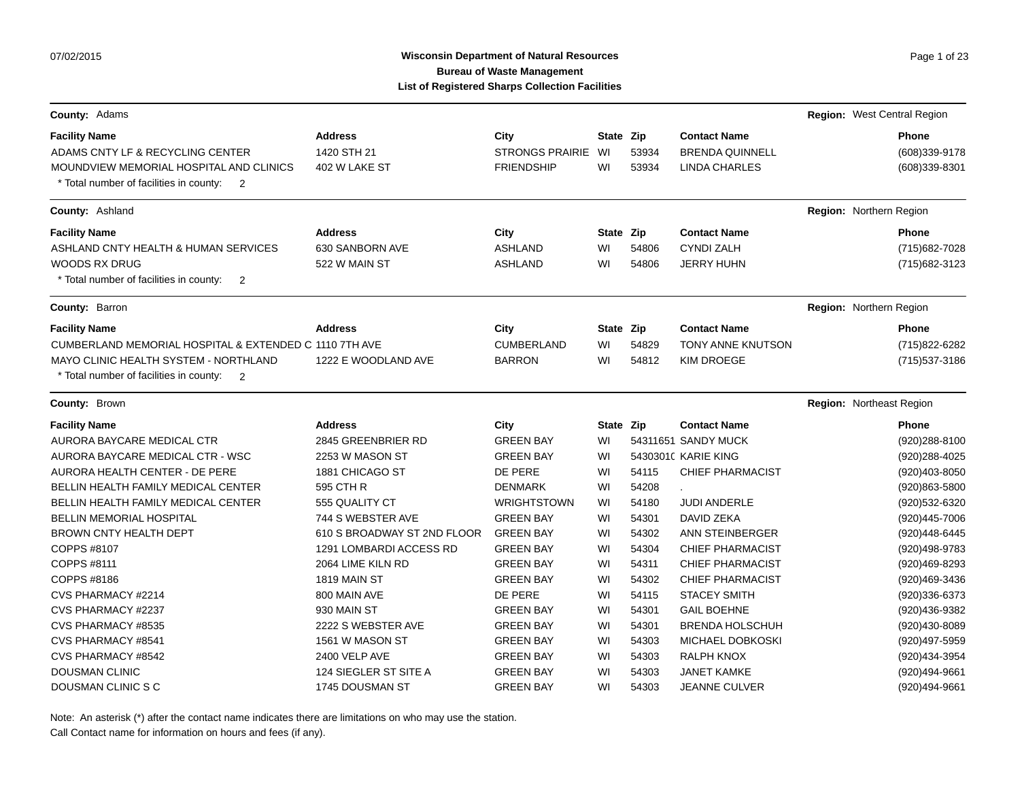# Wisconsin Department of Natural Resources **Page 1** of 23 **Bureau of Waste Management List of Registered Sharps Collection Facilities**

| County: Adams                                                                                                                                                                                           |                                                    |                                                     |                       |                |                                                                | Region: West Central Region                      |
|---------------------------------------------------------------------------------------------------------------------------------------------------------------------------------------------------------|----------------------------------------------------|-----------------------------------------------------|-----------------------|----------------|----------------------------------------------------------------|--------------------------------------------------|
| <b>Facility Name</b><br>ADAMS CNTY LF & RECYCLING CENTER<br>MOUNDVIEW MEMORIAL HOSPITAL AND CLINICS<br>* Total number of facilities in county:<br>$\overline{2}$                                        | <b>Address</b><br>1420 STH 21<br>402 W LAKE ST     | City<br><b>STRONGS PRAIRIE</b><br><b>FRIENDSHIP</b> | State Zip<br>WI<br>WI | 53934<br>53934 | <b>Contact Name</b><br><b>BRENDA QUINNELL</b><br>LINDA CHARLES | <b>Phone</b><br>(608)339-9178<br>(608)339-8301   |
| County: Ashland                                                                                                                                                                                         |                                                    |                                                     |                       |                |                                                                | Region: Northern Region                          |
| <b>Facility Name</b><br>ASHLAND CNTY HEALTH & HUMAN SERVICES<br><b>WOODS RX DRUG</b><br>* Total number of facilities in county:<br>$\overline{2}$                                                       | <b>Address</b><br>630 SANBORN AVE<br>522 W MAIN ST | City<br><b>ASHLAND</b><br><b>ASHLAND</b>            | State Zip<br>WI<br>WI | 54806<br>54806 | <b>Contact Name</b><br><b>CYNDI ZALH</b><br><b>JERRY HUHN</b>  | <b>Phone</b><br>(715) 682-7028<br>(715) 682-3123 |
| County: Barron                                                                                                                                                                                          |                                                    |                                                     |                       |                |                                                                | Region: Northern Region                          |
| <b>Facility Name</b><br>CUMBERLAND MEMORIAL HOSPITAL & EXTENDED C 1110 7TH AVE<br><b>MAYO CLINIC HEALTH SYSTEM - NORTHLAND</b><br>* Total number of facilities in county:<br>$\overline{\phantom{0}}^2$ | <b>Address</b><br>1222 E WOODLAND AVE              | City<br><b>CUMBERLAND</b><br><b>BARRON</b>          | State Zip<br>WI<br>WI | 54829<br>54812 | <b>Contact Name</b><br>TONY ANNE KNUTSON<br><b>KIM DROEGE</b>  | <b>Phone</b><br>(715) 822-6282<br>(715) 537-3186 |
| County: Brown                                                                                                                                                                                           |                                                    |                                                     |                       |                |                                                                | <b>Region: Northeast Region</b>                  |
| <b>Facility Name</b>                                                                                                                                                                                    | <b>Address</b>                                     | City                                                | State Zip             |                | <b>Contact Name</b>                                            | <b>Phone</b>                                     |
| AURORA BAYCARE MEDICAL CTR                                                                                                                                                                              | 2845 GREENBRIER RD                                 | <b>GREEN BAY</b>                                    | WI                    |                | 54311651 SANDY MUCK                                            | (920) 288-8100                                   |
| AURORA BAYCARE MEDICAL CTR - WSC                                                                                                                                                                        | 2253 W MASON ST                                    | <b>GREEN BAY</b>                                    | WI                    |                | 54303010 KARIE KING                                            | (920) 288-4025                                   |
| AURORA HEALTH CENTER - DE PERE                                                                                                                                                                          | 1881 CHICAGO ST                                    | DE PERE                                             | WI                    | 54115          | <b>CHIEF PHARMACIST</b>                                        | (920)403-8050                                    |
| <b>BELLIN HEALTH FAMILY MEDICAL CENTER</b>                                                                                                                                                              | 595 CTH R                                          | <b>DENMARK</b>                                      | WI                    | 54208          |                                                                | (920)863-5800                                    |
| <b>BELLIN HEALTH FAMILY MEDICAL CENTER</b>                                                                                                                                                              | 555 QUALITY CT                                     | <b>WRIGHTSTOWN</b>                                  | WI                    | 54180          | <b>JUDI ANDERLE</b>                                            | (920)532-6320                                    |
| <b>BELLIN MEMORIAL HOSPITAL</b>                                                                                                                                                                         | 744 S WEBSTER AVE                                  | <b>GREEN BAY</b>                                    | WI                    | 54301          | DAVID ZEKA                                                     | (920)445-7006                                    |
| <b>BROWN CNTY HEALTH DEPT</b>                                                                                                                                                                           | 610 S BROADWAY ST 2ND FLOOR                        | <b>GREEN BAY</b>                                    | WI                    | 54302          | ANN STEINBERGER                                                | (920)448-6445                                    |
| COPPS #8107                                                                                                                                                                                             | 1291 LOMBARDI ACCESS RD                            | <b>GREEN BAY</b>                                    | WI                    | 54304          | <b>CHIEF PHARMACIST</b>                                        | (920)498-9783                                    |
| COPPS #8111                                                                                                                                                                                             | 2064 LIME KILN RD                                  | <b>GREEN BAY</b>                                    | WI                    | 54311          | <b>CHIEF PHARMACIST</b>                                        | (920)469-8293                                    |
| COPPS #8186                                                                                                                                                                                             | 1819 MAIN ST                                       | <b>GREEN BAY</b>                                    | WI                    | 54302          | <b>CHIEF PHARMACIST</b>                                        | (920)469-3436                                    |
| CVS PHARMACY #2214                                                                                                                                                                                      | 800 MAIN AVE                                       | DE PERE                                             | WI                    | 54115          | <b>STACEY SMITH</b>                                            | (920)336-6373                                    |
| CVS PHARMACY #2237                                                                                                                                                                                      | 930 MAIN ST                                        | <b>GREEN BAY</b>                                    | WI                    | 54301          | <b>GAIL BOEHNE</b>                                             | (920)436-9382                                    |
| CVS PHARMACY #8535                                                                                                                                                                                      | 2222 S WEBSTER AVE                                 | <b>GREEN BAY</b>                                    | WI                    | 54301          | <b>BRENDA HOLSCHUH</b>                                         | (920)430-8089                                    |
| CVS PHARMACY #8541                                                                                                                                                                                      | 1561 W MASON ST                                    | <b>GREEN BAY</b>                                    | WI                    | 54303          | MICHAEL DOBKOSKI                                               | (920)497-5959                                    |
| CVS PHARMACY #8542                                                                                                                                                                                      | 2400 VELP AVE                                      | <b>GREEN BAY</b>                                    | WI                    | 54303          | RALPH KNOX                                                     | (920) 434-3954                                   |
| <b>DOUSMAN CLINIC</b>                                                                                                                                                                                   | 124 SIEGLER ST SITE A                              | <b>GREEN BAY</b>                                    | WI                    | 54303          | <b>JANET KAMKE</b>                                             | (920)494-9661                                    |
| DOUSMAN CLINIC S C                                                                                                                                                                                      | 1745 DOUSMAN ST                                    | <b>GREEN BAY</b>                                    | WI                    | 54303          | <b>JEANNE CULVER</b>                                           | (920)494-9661                                    |

Note: An asterisk (\*) after the contact name indicates there are limitations on who may use the station.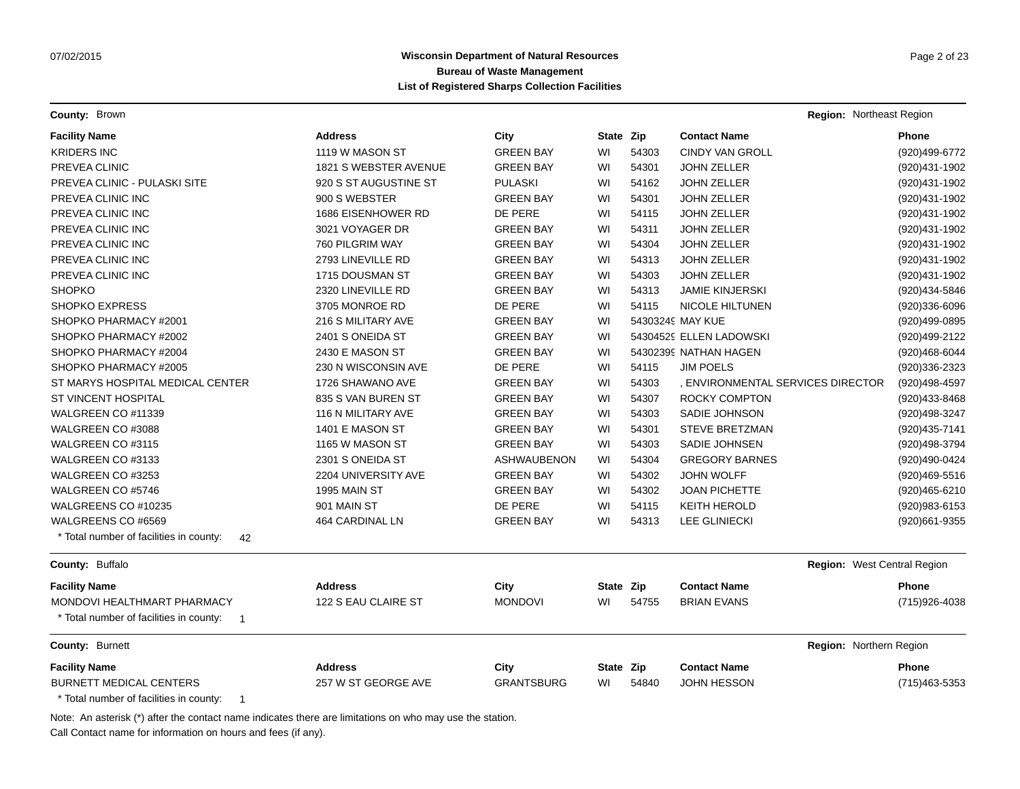**County:** Brown **Region:** Northeast Region

| <b>Facility Name</b>                                      | <b>Address</b>        | City               | State Zip |       | <b>Contact Name</b>               | <b>Phone</b>   |
|-----------------------------------------------------------|-----------------------|--------------------|-----------|-------|-----------------------------------|----------------|
| <b>KRIDERS INC</b>                                        | 1119 W MASON ST       | <b>GREEN BAY</b>   | WI        | 54303 | <b>CINDY VAN GROLL</b>            | (920)499-6772  |
| PREVEA CLINIC                                             | 1821 S WEBSTER AVENUE | <b>GREEN BAY</b>   | WI        | 54301 | <b>JOHN ZELLER</b>                | (920)431-1902  |
| PREVEA CLINIC - PULASKI SITE                              | 920 S ST AUGUSTINE ST | <b>PULASKI</b>     | WI        | 54162 | <b>JOHN ZELLER</b>                | (920)431-1902  |
| PREVEA CLINIC INC                                         | 900 S WEBSTER         | <b>GREEN BAY</b>   | WI        | 54301 | <b>JOHN ZELLER</b>                | (920)431-1902  |
| PREVEA CLINIC INC                                         | 1686 EISENHOWER RD    | DE PERE            | WI        | 54115 | <b>JOHN ZELLER</b>                | (920)431-1902  |
| PREVEA CLINIC INC                                         | 3021 VOYAGER DR       | <b>GREEN BAY</b>   | WI        | 54311 | <b>JOHN ZELLER</b>                | (920)431-1902  |
| PREVEA CLINIC INC                                         | 760 PILGRIM WAY       | <b>GREEN BAY</b>   | WI        | 54304 | <b>JOHN ZELLER</b>                | (920)431-1902  |
| PREVEA CLINIC INC                                         | 2793 LINEVILLE RD     | <b>GREEN BAY</b>   | WI        | 54313 | <b>JOHN ZELLER</b>                | (920)431-1902  |
| PREVEA CLINIC INC                                         | 1715 DOUSMAN ST       | <b>GREEN BAY</b>   | WI        | 54303 | <b>JOHN ZELLER</b>                | (920)431-1902  |
| <b>SHOPKO</b>                                             | 2320 LINEVILLE RD     | <b>GREEN BAY</b>   | WI        | 54313 | <b>JAMIE KINJERSKI</b>            | (920)434-5846  |
| <b>SHOPKO EXPRESS</b>                                     | 3705 MONROE RD        | DE PERE            | WI        | 54115 | <b>NICOLE HILTUNEN</b>            | (920)336-6096  |
| SHOPKO PHARMACY #2001                                     | 216 S MILITARY AVE    | <b>GREEN BAY</b>   | WI        |       | 54303249 MAY KUE                  | (920)499-0895  |
| SHOPKO PHARMACY #2002                                     | 2401 S ONEIDA ST      | <b>GREEN BAY</b>   | WI        |       | 54304529 ELLEN LADOWSKI           | (920)499-2122  |
| SHOPKO PHARMACY #2004                                     | 2430 E MASON ST       | <b>GREEN BAY</b>   | WI        |       | 54302399 NATHAN HAGEN             | (920)468-6044  |
| SHOPKO PHARMACY #2005                                     | 230 N WISCONSIN AVE   | DE PERE            | WI        | 54115 | <b>JIM POELS</b>                  | (920)336-2323  |
| ST MARYS HOSPITAL MEDICAL CENTER                          | 1726 SHAWANO AVE      | <b>GREEN BAY</b>   | WI        | 54303 | , ENVIRONMENTAL SERVICES DIRECTOR | (920)498-4597  |
| ST VINCENT HOSPITAL                                       | 835 S VAN BUREN ST    | <b>GREEN BAY</b>   | WI        | 54307 | ROCKY COMPTON                     | (920)433-8468  |
| WALGREEN CO #11339                                        | 116 N MILITARY AVE    | <b>GREEN BAY</b>   | WI        | 54303 | SADIE JOHNSON                     | (920)498-3247  |
| WALGREEN CO #3088                                         | 1401 E MASON ST       | <b>GREEN BAY</b>   | WI        | 54301 | <b>STEVE BRETZMAN</b>             | (920) 435-7141 |
| WALGREEN CO #3115                                         | 1165 W MASON ST       | <b>GREEN BAY</b>   | WI        | 54303 | SADIE JOHNSEN                     | (920)498-3794  |
| WALGREEN CO #3133                                         | 2301 S ONEIDA ST      | <b>ASHWAUBENON</b> | WI        | 54304 | <b>GREGORY BARNES</b>             | (920)490-0424  |
| WALGREEN CO #3253                                         | 2204 UNIVERSITY AVE   | <b>GREEN BAY</b>   | WI        | 54302 | <b>JOHN WOLFF</b>                 | (920)469-5516  |
| WALGREEN CO #5746                                         | 1995 MAIN ST          | <b>GREEN BAY</b>   | WI        | 54302 | <b>JOAN PICHETTE</b>              | (920)465-6210  |
| WALGREENS CO #10235                                       | 901 MAIN ST           | DE PERE            | WI        | 54115 | <b>KEITH HEROLD</b>               | (920) 983-6153 |
| WALGREENS CO #6569                                        | 464 CARDINAL LN       | <b>GREEN BAY</b>   | WI        | 54313 | <b>LEE GLINIECKI</b>              | (920)661-9355  |
| * Total number of facilities in county:<br>42             |                       |                    |           |       |                                   |                |
| County: Buffalo                                           |                       |                    |           |       | Region: West Central Region       |                |
| <b>Facility Name</b>                                      | <b>Address</b>        | City               | State Zip |       | <b>Contact Name</b>               | Phone          |
| MONDOVI HEALTHMART PHARMACY                               | 122 S EAU CLAIRE ST   | <b>MONDOVI</b>     | WI        | 54755 | <b>BRIAN EVANS</b>                | (715) 926-4038 |
| * Total number of facilities in county:<br>$\overline{1}$ |                       |                    |           |       |                                   |                |
| <b>County: Burnett</b>                                    |                       |                    |           |       | Region: Northern Region           |                |
| <b>Facility Name</b>                                      | <b>Address</b>        | City               | State Zip |       | <b>Contact Name</b>               | <b>Phone</b>   |
| <b>BURNETT MEDICAL CENTERS</b>                            | 257 W ST GEORGE AVE   | <b>GRANTSBURG</b>  | WI        | 54840 | <b>JOHN HESSON</b>                | (715) 463-5353 |
| $*$ Total number of faoilities in equature $\overline{A}$ |                       |                    |           |       |                                   |                |

Total number of facilities in county: 1

Note: An asterisk (\*) after the contact name indicates there are limitations on who may use the station.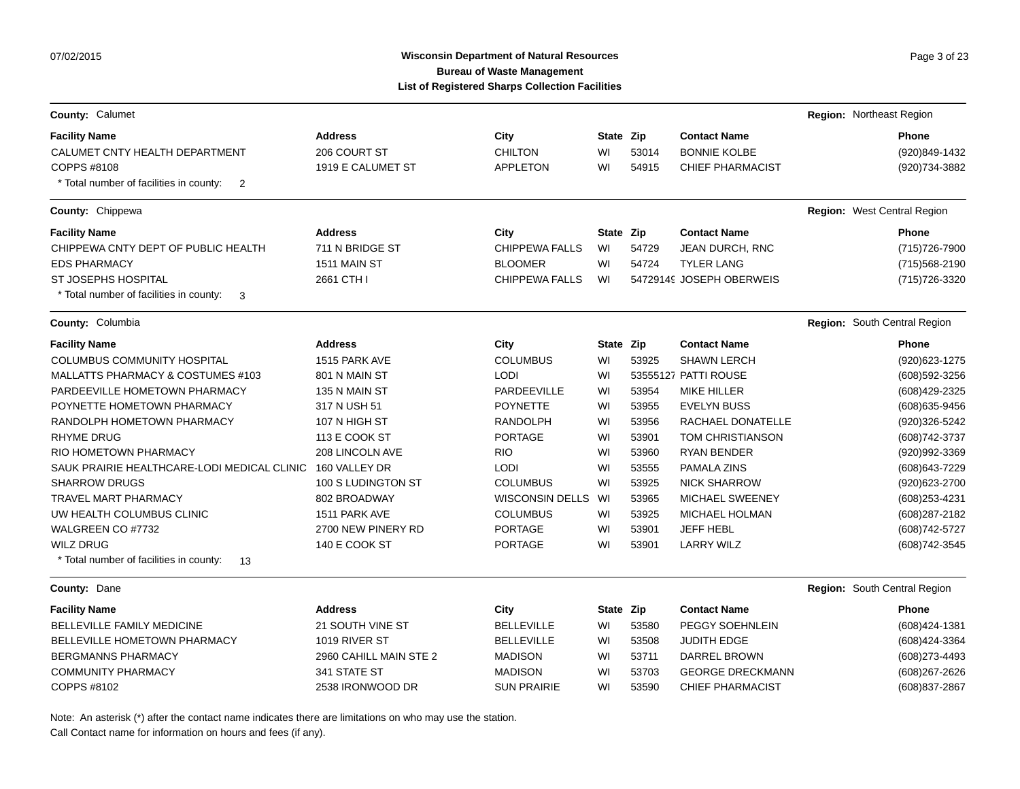# Wisconsin Department of Natural Resources **Page 3 of 23** Page 3 of 23 **Bureau of Waste Management List of Registered Sharps Collection Facilities**

|                                                           |                        | List of Registered Sharps Collection Facilities |           |       |                          |                              |
|-----------------------------------------------------------|------------------------|-------------------------------------------------|-----------|-------|--------------------------|------------------------------|
| County: Calumet                                           |                        |                                                 |           |       |                          | Region: Northeast Region     |
| <b>Facility Name</b>                                      | <b>Address</b>         | City                                            | State Zip |       | <b>Contact Name</b>      | <b>Phone</b>                 |
| CALUMET CNTY HEALTH DEPARTMENT                            | 206 COURT ST           | <b>CHILTON</b>                                  | WI        | 53014 | <b>BONNIE KOLBE</b>      | (920)849-1432                |
| COPPS #8108                                               | 1919 E CALUMET ST      | <b>APPLETON</b>                                 | WI        | 54915 | <b>CHIEF PHARMACIST</b>  | (920) 734-3882               |
| * Total number of facilities in county:<br>$\overline{2}$ |                        |                                                 |           |       |                          |                              |
| County: Chippewa                                          |                        |                                                 |           |       |                          | Region: West Central Region  |
| <b>Facility Name</b>                                      | <b>Address</b>         | City                                            | State Zip |       | <b>Contact Name</b>      | Phone                        |
| CHIPPEWA CNTY DEPT OF PUBLIC HEALTH                       | 711 N BRIDGE ST        | <b>CHIPPEWA FALLS</b>                           | WI        | 54729 | JEAN DURCH, RNC          | (715) 726-7900               |
| <b>EDS PHARMACY</b>                                       | 1511 MAIN ST           | <b>BLOOMER</b>                                  | WI        | 54724 | <b>TYLER LANG</b>        | (715) 568-2190               |
| ST JOSEPHS HOSPITAL                                       | 2661 CTH I             | <b>CHIPPEWA FALLS</b>                           | WI        |       | 54729149 JOSEPH OBERWEIS | (715) 726-3320               |
| * Total number of facilities in county:<br>-3             |                        |                                                 |           |       |                          |                              |
| <b>County: Columbia</b>                                   |                        |                                                 |           |       |                          | Region: South Central Region |
| <b>Facility Name</b>                                      | <b>Address</b>         | City                                            | State Zip |       | <b>Contact Name</b>      | Phone                        |
| <b>COLUMBUS COMMUNITY HOSPITAL</b>                        | 1515 PARK AVE          | <b>COLUMBUS</b>                                 | WI        | 53925 | <b>SHAWN LERCH</b>       | (920) 623-1275               |
| MALLATTS PHARMACY & COSTUMES #103                         | 801 N MAIN ST          | <b>LODI</b>                                     | WI        |       | 53555127 PATTI ROUSE     | (608) 592-3256               |
| PARDEEVILLE HOMETOWN PHARMACY                             | 135 N MAIN ST          | PARDEEVILLE                                     | WI        | 53954 | <b>MIKE HILLER</b>       | (608)429-2325                |
| POYNETTE HOMETOWN PHARMACY                                | 317 N USH 51           | <b>POYNETTE</b>                                 | WI        | 53955 | <b>EVELYN BUSS</b>       | (608) 635-9456               |
| RANDOLPH HOMETOWN PHARMACY                                | 107 N HIGH ST          | <b>RANDOLPH</b>                                 | WI        | 53956 | RACHAEL DONATELLE        | (920)326-5242                |
| <b>RHYME DRUG</b>                                         | 113 E COOK ST          | <b>PORTAGE</b>                                  | WI        | 53901 | <b>TOM CHRISTIANSON</b>  | (608) 742-3737               |
| RIO HOMETOWN PHARMACY                                     | 208 LINCOLN AVE        | <b>RIO</b>                                      | WI        | 53960 | <b>RYAN BENDER</b>       | (920)992-3369                |
| SAUK PRAIRIE HEALTHCARE-LODI MEDICAL CLINIC               | 160 VALLEY DR          | <b>LODI</b>                                     | WI        | 53555 | PAMALA ZINS              | (608) 643-7229               |
| <b>SHARROW DRUGS</b>                                      | 100 S LUDINGTON ST     | <b>COLUMBUS</b>                                 | WI        | 53925 | <b>NICK SHARROW</b>      | (920) 623-2700               |
| TRAVEL MART PHARMACY                                      | 802 BROADWAY           | <b>WISCONSIN DELLS</b>                          | WI        | 53965 | <b>MICHAEL SWEENEY</b>   | (608) 253-4231               |
| UW HEALTH COLUMBUS CLINIC                                 | 1511 PARK AVE          | <b>COLUMBUS</b>                                 | WI        | 53925 | MICHAEL HOLMAN           | (608) 287-2182               |
| WALGREEN CO #7732                                         | 2700 NEW PINERY RD     | <b>PORTAGE</b>                                  | WI        | 53901 | <b>JEFF HEBL</b>         | (608) 742-5727               |
| <b>WILZ DRUG</b>                                          | 140 E COOK ST          | <b>PORTAGE</b>                                  | WI        | 53901 | <b>LARRY WILZ</b>        | (608) 742-3545               |
| * Total number of facilities in county:<br>13             |                        |                                                 |           |       |                          |                              |
| County: Dane                                              |                        |                                                 |           |       |                          | Region: South Central Region |
| <b>Facility Name</b>                                      | <b>Address</b>         | City                                            | State Zip |       | <b>Contact Name</b>      | <b>Phone</b>                 |
| <b>BELLEVILLE FAMILY MEDICINE</b>                         | 21 SOUTH VINE ST       | <b>BELLEVILLE</b>                               | WI        | 53580 | PEGGY SOEHNLEIN          | (608)424-1381                |
| <b>BELLEVILLE HOMETOWN PHARMACY</b>                       | 1019 RIVER ST          | <b>BELLEVILLE</b>                               | WI        | 53508 | <b>JUDITH EDGE</b>       | (608) 424-3364               |
| <b>BERGMANNS PHARMACY</b>                                 | 2960 CAHILL MAIN STE 2 | <b>MADISON</b>                                  | WI        | 53711 | DARREL BROWN             | (608) 273-4493               |
| <b>COMMUNITY PHARMACY</b>                                 | 341 STATE ST           | <b>MADISON</b>                                  | WI        | 53703 | <b>GEORGE DRECKMANN</b>  | $(608)267 - 2626$            |
| COPPS #8102                                               | 2538 IRONWOOD DR       | <b>SUN PRAIRIE</b>                              | WI        | 53590 | <b>CHIEF PHARMACIST</b>  | (608) 837-2867               |
|                                                           |                        |                                                 |           |       |                          |                              |

Note: An asterisk (\*) after the contact name indicates there are limitations on who may use the station.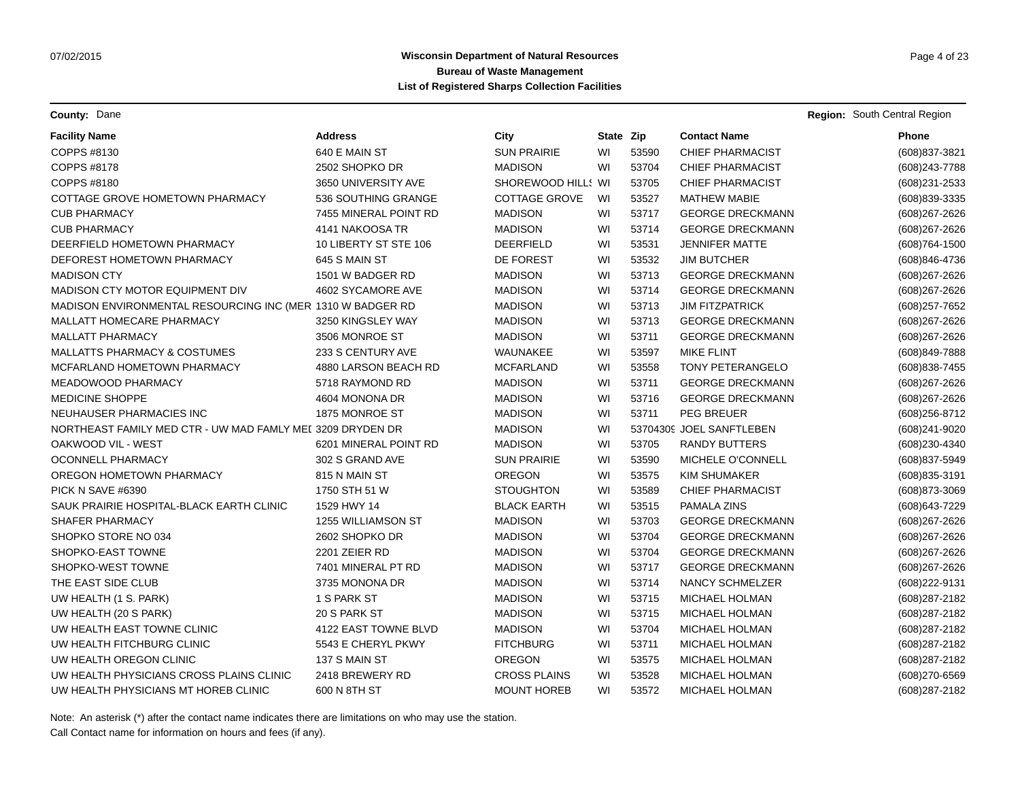**County:** Dane **Region:** South Central Region **Region:** South Central Region **Region:** South Central Region

| <b>Facility Name</b>                                       | <b>Address</b>        | City                 | State Zip |       | <b>Contact Name</b>      | Phone             |
|------------------------------------------------------------|-----------------------|----------------------|-----------|-------|--------------------------|-------------------|
| COPPS #8130                                                | 640 E MAIN ST         | <b>SUN PRAIRIE</b>   | WI        | 53590 | <b>CHIEF PHARMACIST</b>  | (608) 837-3821    |
| COPPS #8178                                                | 2502 SHOPKO DR        | <b>MADISON</b>       | WI        | 53704 | <b>CHIEF PHARMACIST</b>  | (608) 243-7788    |
| COPPS #8180                                                | 3650 UNIVERSITY AVE   | SHOREWOOD HILL! WI   |           | 53705 | <b>CHIEF PHARMACIST</b>  | (608) 231-2533    |
| COTTAGE GROVE HOMETOWN PHARMACY                            | 536 SOUTHING GRANGE   | <b>COTTAGE GROVE</b> | WI        | 53527 | <b>MATHEW MABIE</b>      | (608)839-3335     |
| <b>CUB PHARMACY</b>                                        | 7455 MINERAL POINT RD | <b>MADISON</b>       | WI        | 53717 | <b>GEORGE DRECKMANN</b>  | (608) 267-2626    |
| <b>CUB PHARMACY</b>                                        | 4141 NAKOOSA TR       | <b>MADISON</b>       | WI        | 53714 | <b>GEORGE DRECKMANN</b>  | (608) 267-2626    |
| DEERFIELD HOMETOWN PHARMACY                                | 10 LIBERTY ST STE 106 | <b>DEERFIELD</b>     | WI        | 53531 | <b>JENNIFER MATTE</b>    | $(608)764 - 1500$ |
| DEFOREST HOMETOWN PHARMACY                                 | 645 S MAIN ST         | DE FOREST            | WI        | 53532 | <b>JIM BUTCHER</b>       | (608)846-4736     |
| <b>MADISON CTY</b>                                         | 1501 W BADGER RD      | <b>MADISON</b>       | WI        | 53713 | <b>GEORGE DRECKMANN</b>  | (608) 267-2626    |
| MADISON CTY MOTOR EQUIPMENT DIV                            | 4602 SYCAMORE AVE     | <b>MADISON</b>       | WI        | 53714 | <b>GEORGE DRECKMANN</b>  | (608) 267-2626    |
| MADISON ENVIRONMENTAL RESOURCING INC (MER 1310 W BADGER RD |                       | <b>MADISON</b>       | WI        | 53713 | <b>JIM FITZPATRICK</b>   | (608) 257-7652    |
| MALLATT HOMECARE PHARMACY                                  | 3250 KINGSLEY WAY     | <b>MADISON</b>       | WI        | 53713 | <b>GEORGE DRECKMANN</b>  | (608) 267-2626    |
| <b>MALLATT PHARMACY</b>                                    | 3506 MONROE ST        | <b>MADISON</b>       | WI        | 53711 | <b>GEORGE DRECKMANN</b>  | (608) 267-2626    |
| <b>MALLATTS PHARMACY &amp; COSTUMES</b>                    | 233 S CENTURY AVE     | WAUNAKEE             | WI        | 53597 | <b>MIKE FLINT</b>        | (608)849-7888     |
| MCFARLAND HOMETOWN PHARMACY                                | 4880 LARSON BEACH RD  | <b>MCFARLAND</b>     | WI        | 53558 | TONY PETERANGELO         | (608) 838-7455    |
| MEADOWOOD PHARMACY                                         | 5718 RAYMOND RD       | <b>MADISON</b>       | WI        | 53711 | <b>GEORGE DRECKMANN</b>  | (608) 267-2626    |
| <b>MEDICINE SHOPPE</b>                                     | 4604 MONONA DR        | <b>MADISON</b>       | WI        | 53716 | <b>GEORGE DRECKMANN</b>  | (608) 267-2626    |
| NEUHAUSER PHARMACIES INC                                   | 1875 MONROE ST        | <b>MADISON</b>       | WI        | 53711 | <b>PEG BREUER</b>        | (608) 256-8712    |
| NORTHEAST FAMILY MED CTR - UW MAD FAMLY MEI 3209 DRYDEN DR |                       | <b>MADISON</b>       | WI        |       | 53704309 JOEL SANFTLEBEN | (608) 241-9020    |
| OAKWOOD VIL - WEST                                         | 6201 MINERAL POINT RD | <b>MADISON</b>       | WI        | 53705 | <b>RANDY BUTTERS</b>     | (608)230-4340     |
| OCONNELL PHARMACY                                          | 302 S GRAND AVE       | <b>SUN PRAIRIE</b>   | WI        | 53590 | MICHELE O'CONNELL        | (608) 837-5949    |
| OREGON HOMETOWN PHARMACY                                   | 815 N MAIN ST         | <b>OREGON</b>        | WI        | 53575 | <b>KIM SHUMAKER</b>      | (608) 835-3191    |
| PICK N SAVE #6390                                          | 1750 STH 51 W         | <b>STOUGHTON</b>     | WI        | 53589 | <b>CHIEF PHARMACIST</b>  | (608) 873-3069    |
| SAUK PRAIRIE HOSPITAL-BLACK EARTH CLINIC                   | 1529 HWY 14           | <b>BLACK EARTH</b>   | WI        | 53515 | PAMALA ZINS              | (608) 643-7229    |
| SHAFER PHARMACY                                            | 1255 WILLIAMSON ST    | <b>MADISON</b>       | WI        | 53703 | <b>GEORGE DRECKMANN</b>  | (608) 267-2626    |
| SHOPKO STORE NO 034                                        | 2602 SHOPKO DR        | <b>MADISON</b>       | WI        | 53704 | <b>GEORGE DRECKMANN</b>  | (608) 267-2626    |
| SHOPKO-EAST TOWNE                                          | 2201 ZEIER RD         | <b>MADISON</b>       | WI        | 53704 | <b>GEORGE DRECKMANN</b>  | (608) 267-2626    |
| SHOPKO-WEST TOWNE                                          | 7401 MINERAL PT RD    | <b>MADISON</b>       | WI        | 53717 | <b>GEORGE DRECKMANN</b>  | (608) 267-2626    |
| THE EAST SIDE CLUB                                         | 3735 MONONA DR        | <b>MADISON</b>       | WI        | 53714 | <b>NANCY SCHMELZER</b>   | (608) 222-9131    |
| UW HEALTH (1 S. PARK)                                      | 1 S PARK ST           | <b>MADISON</b>       | WI        | 53715 | <b>MICHAEL HOLMAN</b>    | (608) 287-2182    |
| UW HEALTH (20 S PARK)                                      | 20 S PARK ST          | <b>MADISON</b>       | WI        | 53715 | <b>MICHAEL HOLMAN</b>    | (608) 287-2182    |
| UW HEALTH EAST TOWNE CLINIC                                | 4122 EAST TOWNE BLVD  | <b>MADISON</b>       | WI        | 53704 | MICHAEL HOLMAN           | (608) 287-2182    |
| UW HEALTH FITCHBURG CLINIC                                 | 5543 E CHERYL PKWY    | <b>FITCHBURG</b>     | WI        | 53711 | MICHAEL HOLMAN           | (608) 287-2182    |
| UW HEALTH OREGON CLINIC                                    | 137 S MAIN ST         | <b>OREGON</b>        | WI        | 53575 | <b>MICHAEL HOLMAN</b>    | (608) 287-2182    |
| UW HEALTH PHYSICIANS CROSS PLAINS CLINIC                   | 2418 BREWERY RD       | <b>CROSS PLAINS</b>  | WI        | 53528 | <b>MICHAEL HOLMAN</b>    | (608)270-6569     |
| UW HEALTH PHYSICIANS MT HOREB CLINIC                       | 600 N 8TH ST          | <b>MOUNT HOREB</b>   | WI        | 53572 | MICHAEL HOLMAN           | (608) 287-2182    |

Note: An asterisk (\*) after the contact name indicates there are limitations on who may use the station.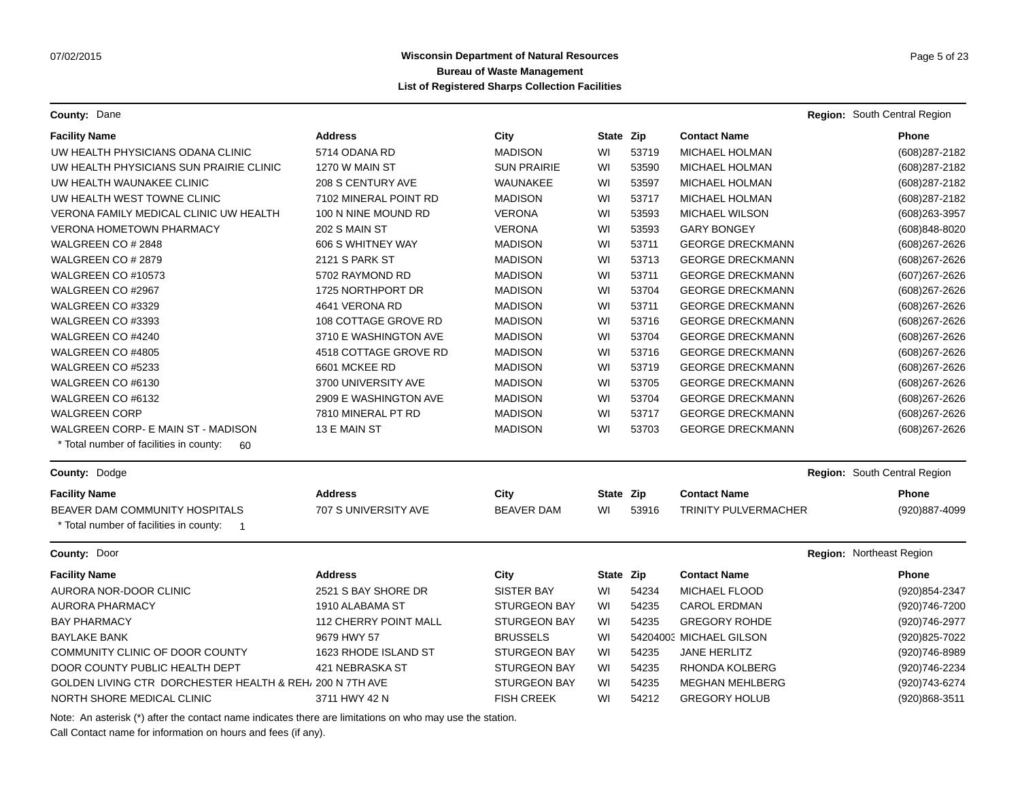**County:** Dane **Region:** South Central Region **Region:** South Central Region **Region:** South Central Region

| <b>Facility Name</b>                                                | <b>Address</b>        | City                | State Zip |       | <b>Contact Name</b>         |                              | <b>Phone</b>   |
|---------------------------------------------------------------------|-----------------------|---------------------|-----------|-------|-----------------------------|------------------------------|----------------|
| UW HEALTH PHYSICIANS ODANA CLINIC                                   | 5714 ODANA RD         | <b>MADISON</b>      | WI        | 53719 | <b>MICHAEL HOLMAN</b>       |                              | (608) 287-2182 |
| UW HEALTH PHYSICIANS SUN PRAIRIE CLINIC                             | 1270 W MAIN ST        | <b>SUN PRAIRIE</b>  | WI        | 53590 | <b>MICHAEL HOLMAN</b>       |                              | (608) 287-2182 |
| UW HEALTH WAUNAKEE CLINIC                                           | 208 S CENTURY AVE     | WAUNAKEE            | WI        | 53597 | MICHAEL HOLMAN              |                              | (608) 287-2182 |
| UW HEALTH WEST TOWNE CLINIC                                         | 7102 MINERAL POINT RD | <b>MADISON</b>      | WI        | 53717 | <b>MICHAEL HOLMAN</b>       |                              | (608) 287-2182 |
| VERONA FAMILY MEDICAL CLINIC UW HEALTH                              | 100 N NINE MOUND RD   | <b>VERONA</b>       | WI        | 53593 | <b>MICHAEL WILSON</b>       |                              | (608) 263-3957 |
| <b>VERONA HOMETOWN PHARMACY</b>                                     | 202 S MAIN ST         | <b>VERONA</b>       | WI        | 53593 | <b>GARY BONGEY</b>          |                              | (608)848-8020  |
| WALGREEN CO # 2848                                                  | 606 S WHITNEY WAY     | <b>MADISON</b>      | WI        | 53711 | <b>GEORGE DRECKMANN</b>     |                              | (608) 267-2626 |
| WALGREEN CO # 2879                                                  | 2121 S PARK ST        | <b>MADISON</b>      | WI        | 53713 | <b>GEORGE DRECKMANN</b>     |                              | (608) 267-2626 |
| WALGREEN CO #10573                                                  | 5702 RAYMOND RD       | <b>MADISON</b>      | WI        | 53711 | <b>GEORGE DRECKMANN</b>     |                              | (607) 267-2626 |
| WALGREEN CO #2967                                                   | 1725 NORTHPORT DR     | <b>MADISON</b>      | WI        | 53704 | <b>GEORGE DRECKMANN</b>     |                              | (608) 267-2626 |
| WALGREEN CO #3329                                                   | 4641 VERONA RD        | <b>MADISON</b>      | WI        | 53711 | <b>GEORGE DRECKMANN</b>     |                              | (608) 267-2626 |
| WALGREEN CO #3393                                                   | 108 COTTAGE GROVE RD  | <b>MADISON</b>      | WI        | 53716 | <b>GEORGE DRECKMANN</b>     |                              | (608) 267-2626 |
| WALGREEN CO #4240                                                   | 3710 E WASHINGTON AVE | <b>MADISON</b>      | WI        | 53704 | <b>GEORGE DRECKMANN</b>     |                              | (608) 267-2626 |
| WALGREEN CO #4805                                                   | 4518 COTTAGE GROVE RD | <b>MADISON</b>      | WI        | 53716 | <b>GEORGE DRECKMANN</b>     |                              | (608) 267-2626 |
| WALGREEN CO #5233                                                   | 6601 MCKEE RD         | <b>MADISON</b>      | WI        | 53719 | <b>GEORGE DRECKMANN</b>     |                              | (608) 267-2626 |
| WALGREEN CO #6130                                                   | 3700 UNIVERSITY AVE   | <b>MADISON</b>      | WI        | 53705 | <b>GEORGE DRECKMANN</b>     |                              | (608) 267-2626 |
| WALGREEN CO #6132                                                   | 2909 E WASHINGTON AVE | <b>MADISON</b>      | WI        | 53704 | <b>GEORGE DRECKMANN</b>     |                              | (608) 267-2626 |
| <b>WALGREEN CORP</b>                                                | 7810 MINERAL PT RD    | <b>MADISON</b>      | WI        | 53717 | <b>GEORGE DRECKMANN</b>     |                              | (608) 267-2626 |
| WALGREEN CORP- E MAIN ST - MADISON                                  | 13 E MAIN ST          | <b>MADISON</b>      | WI        | 53703 | <b>GEORGE DRECKMANN</b>     |                              | (608) 267-2626 |
| * Total number of facilities in county:<br>60                       |                       |                     |           |       |                             |                              |                |
| County: Dodge                                                       |                       |                     |           |       |                             | Region: South Central Region |                |
| <b>Facility Name</b>                                                | <b>Address</b>        | City                | State Zip |       | <b>Contact Name</b>         |                              | <b>Phone</b>   |
| BEAVER DAM COMMUNITY HOSPITALS                                      | 707 S UNIVERSITY AVE  | <b>BEAVER DAM</b>   | WI        | 53916 | <b>TRINITY PULVERMACHER</b> |                              | (920)887-4099  |
| * Total number of facilities in county:<br>$\overline{\phantom{0}}$ |                       |                     |           |       |                             |                              |                |
| County: Door                                                        |                       |                     |           |       |                             | Region: Northeast Region     |                |
| <b>Facility Name</b>                                                | <b>Address</b>        | City                | State Zip |       | <b>Contact Name</b>         |                              | <b>Phone</b>   |
| AURORA NOR-DOOR CLINIC                                              | 2521 S BAY SHORE DR   | <b>SISTER BAY</b>   | WI        | 54234 | MICHAEL FLOOD               |                              | (920) 854-2347 |
| <b>AURORA PHARMACY</b>                                              | 1910 ALABAMA ST       | <b>STURGEON BAY</b> | WI        | 54235 | <b>CAROL ERDMAN</b>         |                              | (920)746-7200  |
| <b>BAY PHARMACY</b>                                                 | 112 CHERRY POINT MALL | <b>STURGEON BAY</b> | WI        | 54235 | <b>GREGORY ROHDE</b>        |                              | (920)746-2977  |
| <b>BAYLAKE BANK</b>                                                 | 9679 HWY 57           | <b>BRUSSELS</b>     | WI        |       | 54204003 MICHAEL GILSON     |                              | (920) 825-7022 |
| COMMUNITY CLINIC OF DOOR COUNTY                                     | 1623 RHODE ISLAND ST  | <b>STURGEON BAY</b> | WI        | 54235 | <b>JANE HERLITZ</b>         |                              | (920) 746-8989 |
| DOOR COUNTY PUBLIC HEALTH DEPT                                      | 421 NEBRASKA ST       | <b>STURGEON BAY</b> | WI        | 54235 | RHONDA KOLBERG              |                              | (920) 746-2234 |
| GOLDEN LIVING CTR DORCHESTER HEALTH & REH, 200 N 7TH AVE            |                       | <b>STURGEON BAY</b> | WI        | 54235 | <b>MEGHAN MEHLBERG</b>      |                              | (920)743-6274  |
| NORTH SHORE MEDICAL CLINIC                                          | 3711 HWY 42 N         | <b>FISH CREEK</b>   | WI        | 54212 | <b>GREGORY HOLUB</b>        |                              | (920)868-3511  |

Note: An asterisk (\*) after the contact name indicates there are limitations on who may use the station.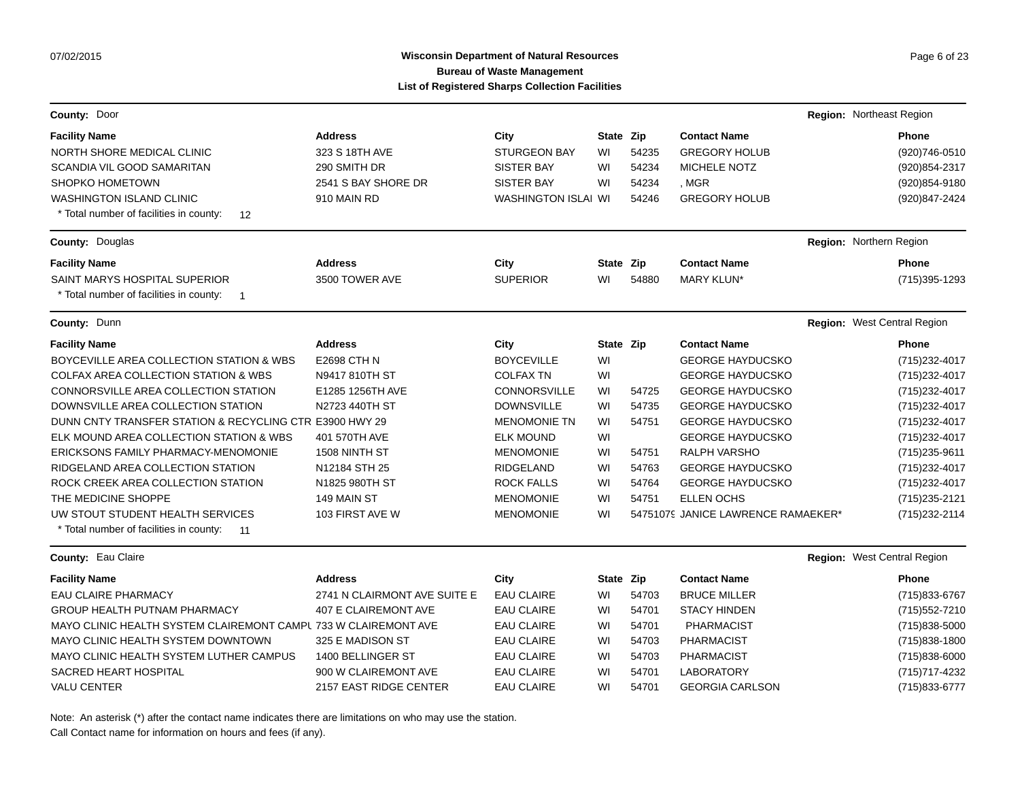# Wisconsin Department of Natural Resources **Page 6 of 23** Page 6 of 23 **Bureau of Waste Management List of Registered Sharps Collection Facilities**

| County: Door                                                                      |                              |                            |           |       |                                    | Region: Northeast Region    |
|-----------------------------------------------------------------------------------|------------------------------|----------------------------|-----------|-------|------------------------------------|-----------------------------|
| <b>Facility Name</b>                                                              | <b>Address</b>               | City                       | State Zip |       | <b>Contact Name</b>                | <b>Phone</b>                |
| NORTH SHORE MEDICAL CLINIC                                                        | 323 S 18TH AVE               | <b>STURGEON BAY</b>        | WI        | 54235 | <b>GREGORY HOLUB</b>               | (920)746-0510               |
| <b>SCANDIA VIL GOOD SAMARITAN</b>                                                 | 290 SMITH DR                 | <b>SISTER BAY</b>          | WI        | 54234 | MICHELE NOTZ                       | (920) 854-2317              |
| SHOPKO HOMETOWN                                                                   | 2541 S BAY SHORE DR          | <b>SISTER BAY</b>          | WI        | 54234 | , MGR                              | (920) 854-9180              |
| <b>WASHINGTON ISLAND CLINIC</b>                                                   | 910 MAIN RD                  | <b>WASHINGTON ISLAI WI</b> |           | 54246 | <b>GREGORY HOLUB</b>               | (920)847-2424               |
| * Total number of facilities in county:<br>12                                     |                              |                            |           |       |                                    |                             |
| <b>County: Douglas</b>                                                            |                              |                            |           |       |                                    | Region: Northern Region     |
| <b>Facility Name</b>                                                              | <b>Address</b>               | City                       | State Zip |       | <b>Contact Name</b>                | <b>Phone</b>                |
| SAINT MARYS HOSPITAL SUPERIOR                                                     | 3500 TOWER AVE               | <b>SUPERIOR</b>            | WI        | 54880 | <b>MARY KLUN*</b>                  | (715) 395-1293              |
| * Total number of facilities in county:<br>$\overline{\phantom{1}}$               |                              |                            |           |       |                                    |                             |
| <b>County: Dunn</b>                                                               |                              |                            |           |       |                                    | Region: West Central Region |
| <b>Facility Name</b>                                                              | <b>Address</b>               | City                       | State Zip |       | <b>Contact Name</b>                | <b>Phone</b>                |
| BOYCEVILLE AREA COLLECTION STATION & WBS                                          | <b>E2698 CTH N</b>           | <b>BOYCEVILLE</b>          | WI        |       | <b>GEORGE HAYDUCSKO</b>            | (715) 232-4017              |
| <b>COLFAX AREA COLLECTION STATION &amp; WBS</b>                                   | N9417 810TH ST               | <b>COLFAX TN</b>           | WI        |       | <b>GEORGE HAYDUCSKO</b>            | (715) 232-4017              |
| CONNORSVILLE AREA COLLECTION STATION                                              | E1285 1256TH AVE             | <b>CONNORSVILLE</b>        | WI        | 54725 | <b>GEORGE HAYDUCSKO</b>            | (715) 232-4017              |
| DOWNSVILLE AREA COLLECTION STATION                                                | N2723 440TH ST               | <b>DOWNSVILLE</b>          | WI        | 54735 | <b>GEORGE HAYDUCSKO</b>            | (715) 232-4017              |
| DUNN CNTY TRANSFER STATION & RECYCLING CTR E3900 HWY 29                           |                              | <b>MENOMONIE TN</b>        | WI        | 54751 | <b>GEORGE HAYDUCSKO</b>            | (715) 232-4017              |
| ELK MOUND AREA COLLECTION STATION & WBS                                           | 401 570TH AVE                | <b>ELK MOUND</b>           | WI        |       | <b>GEORGE HAYDUCSKO</b>            | (715) 232-4017              |
| ERICKSONS FAMILY PHARMACY-MENOMONIE                                               | 1508 NINTH ST                | <b>MENOMONIE</b>           | WI        | 54751 | <b>RALPH VARSHO</b>                | (715) 235-9611              |
| RIDGELAND AREA COLLECTION STATION                                                 | N12184 STH 25                | <b>RIDGELAND</b>           | WI        | 54763 | <b>GEORGE HAYDUCSKO</b>            | (715) 232-4017              |
| ROCK CREEK AREA COLLECTION STATION                                                | N1825 980TH ST               | <b>ROCK FALLS</b>          | WI        | 54764 | <b>GEORGE HAYDUCSKO</b>            | (715) 232-4017              |
| THE MEDICINE SHOPPE                                                               | 149 MAIN ST                  | <b>MENOMONIE</b>           | WI        | 54751 | <b>ELLEN OCHS</b>                  | (715) 235-2121              |
| UW STOUT STUDENT HEALTH SERVICES<br>* Total number of facilities in county:<br>11 | 103 FIRST AVE W              | <b>MENOMONIE</b>           | WI        |       | 54751079 JANICE LAWRENCE RAMAEKER* | (715) 232-2114              |
| County: Eau Claire                                                                |                              |                            |           |       |                                    | Region: West Central Region |
| <b>Facility Name</b>                                                              | <b>Address</b>               | City                       | State Zip |       | <b>Contact Name</b>                | Phone                       |
| <b>EAU CLAIRE PHARMACY</b>                                                        | 2741 N CLAIRMONT AVE SUITE E | <b>EAU CLAIRE</b>          | WI        | 54703 | <b>BRUCE MILLER</b>                | (715) 833-6767              |
| <b>GROUP HEALTH PUTNAM PHARMACY</b>                                               | 407 E CLAIREMONT AVE         | <b>EAU CLAIRE</b>          | WI        | 54701 | <b>STACY HINDEN</b>                | (715) 552-7210              |
| MAYO CLINIC HEALTH SYSTEM CLAIREMONT CAMPL 733 W CLAIREMONT AVE                   |                              | <b>EAU CLAIRE</b>          | WI        | 54701 | <b>PHARMACIST</b>                  | (715)838-5000               |
| MAYO CLINIC HEALTH SYSTEM DOWNTOWN                                                | 325 E MADISON ST             | <b>EAU CLAIRE</b>          | WI        | 54703 | <b>PHARMACIST</b>                  | (715) 838-1800              |
| MAYO CLINIC HEALTH SYSTEM LUTHER CAMPUS                                           | 1400 BELLINGER ST            | <b>EAU CLAIRE</b>          | WI        | 54703 | <b>PHARMACIST</b>                  | $(715)838 - 6000$           |
| SACRED HEART HOSPITAL                                                             | 900 W CLAIREMONT AVE         | <b>EAU CLAIRE</b>          | WI        | 54701 | <b>LABORATORY</b>                  | (715) 717-4232              |
| <b>VALU CENTER</b>                                                                | 2157 EAST RIDGE CENTER       | <b>EAU CLAIRE</b>          | WI        | 54701 | <b>GEORGIA CARLSON</b>             | (715) 833-6777              |
|                                                                                   |                              |                            |           |       |                                    |                             |

Note: An asterisk (\*) after the contact name indicates there are limitations on who may use the station.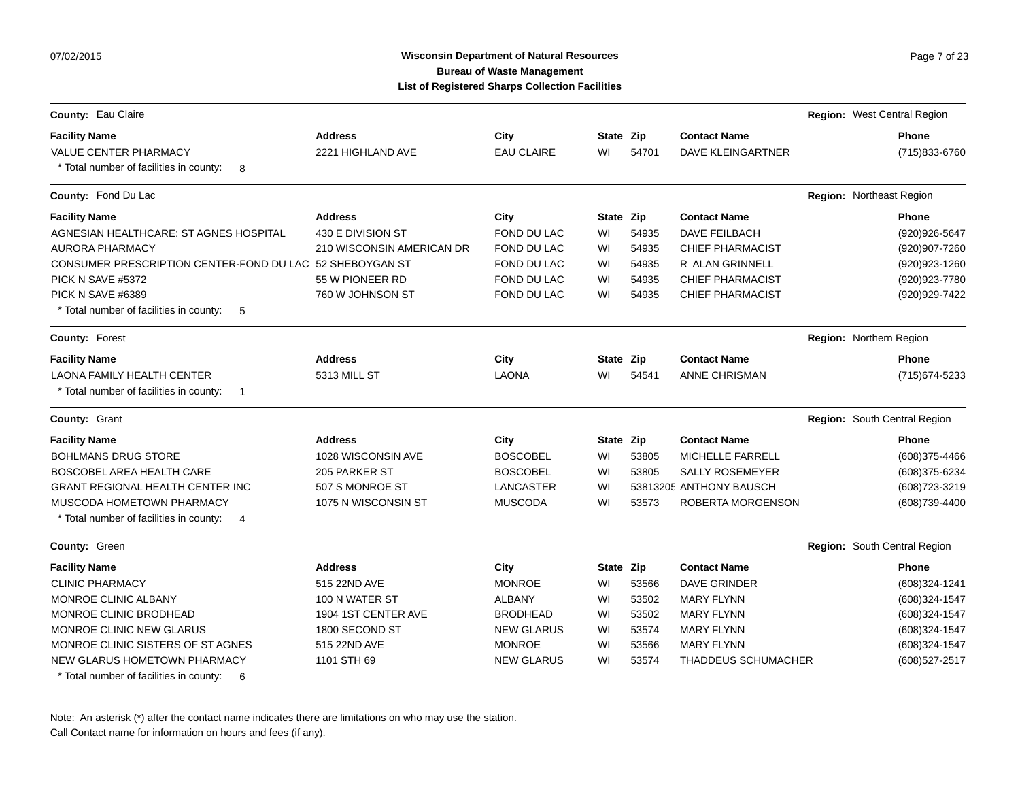07/02/2015

# Wisconsin Department of Natural Resources **Page 7 of 23** Page 7 of 23 **Bureau of Waste Management List of Registered Sharps Collection Facilities**

| County: Eau Claire                                                                             |                           |                   |           |       |                            | Region: West Central Region  |
|------------------------------------------------------------------------------------------------|---------------------------|-------------------|-----------|-------|----------------------------|------------------------------|
| <b>Facility Name</b>                                                                           | <b>Address</b>            | City              | State Zip |       | <b>Contact Name</b>        | Phone                        |
| <b>VALUE CENTER PHARMACY</b><br>* Total number of facilities in county:<br>8                   | 2221 HIGHLAND AVE         | <b>EAU CLAIRE</b> | WI        | 54701 | <b>DAVE KLEINGARTNER</b>   | (715) 833-6760               |
| County: Fond Du Lac                                                                            |                           |                   |           |       |                            | Region: Northeast Region     |
| <b>Facility Name</b>                                                                           | <b>Address</b>            | City              | State Zip |       | <b>Contact Name</b>        | <b>Phone</b>                 |
| AGNESIAN HEALTHCARE: ST AGNES HOSPITAL                                                         | 430 E DIVISION ST         | FOND DU LAC       | WI        | 54935 | DAVE FEILBACH              | (920) 926-5647               |
| <b>AURORA PHARMACY</b>                                                                         | 210 WISCONSIN AMERICAN DR | FOND DU LAC       | WI        | 54935 | <b>CHIEF PHARMACIST</b>    | (920)907-7260                |
| CONSUMER PRESCRIPTION CENTER-FOND DU LAC 52 SHEBOYGAN ST                                       |                           | FOND DU LAC       | WI        | 54935 | R ALAN GRINNELL            | (920) 923-1260               |
| PICK N SAVE #5372                                                                              | 55 W PIONEER RD           | FOND DU LAC       | WI        | 54935 | <b>CHIEF PHARMACIST</b>    | (920) 923-7780               |
| PICK N SAVE #6389<br>* Total number of facilities in county:<br>-5                             | 760 W JOHNSON ST          | FOND DU LAC       | WI        | 54935 | <b>CHIEF PHARMACIST</b>    | (920) 929-7422               |
| County: Forest                                                                                 |                           |                   |           |       |                            | Region: Northern Region      |
| <b>Facility Name</b>                                                                           | <b>Address</b>            | City              | State Zip |       | <b>Contact Name</b>        | <b>Phone</b>                 |
| <b>LAONA FAMILY HEALTH CENTER</b><br>* Total number of facilities in county:<br>$\overline{1}$ | 5313 MILL ST              | <b>LAONA</b>      | WI        | 54541 | <b>ANNE CHRISMAN</b>       | (715) 674-5233               |
| County: Grant                                                                                  |                           |                   |           |       |                            | Region: South Central Region |
| <b>Facility Name</b>                                                                           | <b>Address</b>            | City              | State Zip |       | <b>Contact Name</b>        | <b>Phone</b>                 |
| <b>BOHLMANS DRUG STORE</b>                                                                     | 1028 WISCONSIN AVE        | <b>BOSCOBEL</b>   | WI        | 53805 | MICHELLE FARRELL           | (608) 375-4466               |
| BOSCOBEL AREA HEALTH CARE                                                                      | 205 PARKER ST             | <b>BOSCOBEL</b>   | WI        | 53805 | <b>SALLY ROSEMEYER</b>     | (608) 375-6234               |
| <b>GRANT REGIONAL HEALTH CENTER INC</b>                                                        | 507 S MONROE ST           | LANCASTER         | WI        |       | 53813205 ANTHONY BAUSCH    | (608) 723-3219               |
| MUSCODA HOMETOWN PHARMACY<br>* Total number of facilities in county:<br>-4                     | 1075 N WISCONSIN ST       | <b>MUSCODA</b>    | WI        | 53573 | ROBERTA MORGENSON          | (608) 739-4400               |
| County: Green                                                                                  |                           |                   |           |       |                            | Region: South Central Region |
| <b>Facility Name</b>                                                                           | <b>Address</b>            | City              | State Zip |       | <b>Contact Name</b>        | <b>Phone</b>                 |
| <b>CLINIC PHARMACY</b>                                                                         | 515 22ND AVE              | <b>MONROE</b>     | WI        | 53566 | <b>DAVE GRINDER</b>        | (608)324-1241                |
| MONROE CLINIC ALBANY                                                                           | 100 N WATER ST            | <b>ALBANY</b>     | WI        | 53502 | <b>MARY FLYNN</b>          | (608)324-1547                |
| MONROE CLINIC BRODHEAD                                                                         | 1904 1ST CENTER AVE       | <b>BRODHEAD</b>   | WI        | 53502 | <b>MARY FLYNN</b>          | (608)324-1547                |
| <b>MONROE CLINIC NEW GLARUS</b>                                                                | 1800 SECOND ST            | <b>NEW GLARUS</b> | WI        | 53574 | <b>MARY FLYNN</b>          | (608)324-1547                |
| MONROE CLINIC SISTERS OF ST AGNES                                                              | 515 22ND AVE              | <b>MONROE</b>     | WI        | 53566 | <b>MARY FLYNN</b>          | (608)324-1547                |
| NEW GLARUS HOMETOWN PHARMACY<br>* Total number of facilities in county:<br>6                   | 1101 STH 69               | <b>NEW GLARUS</b> | WI        | 53574 | <b>THADDEUS SCHUMACHER</b> | (608) 527-2517               |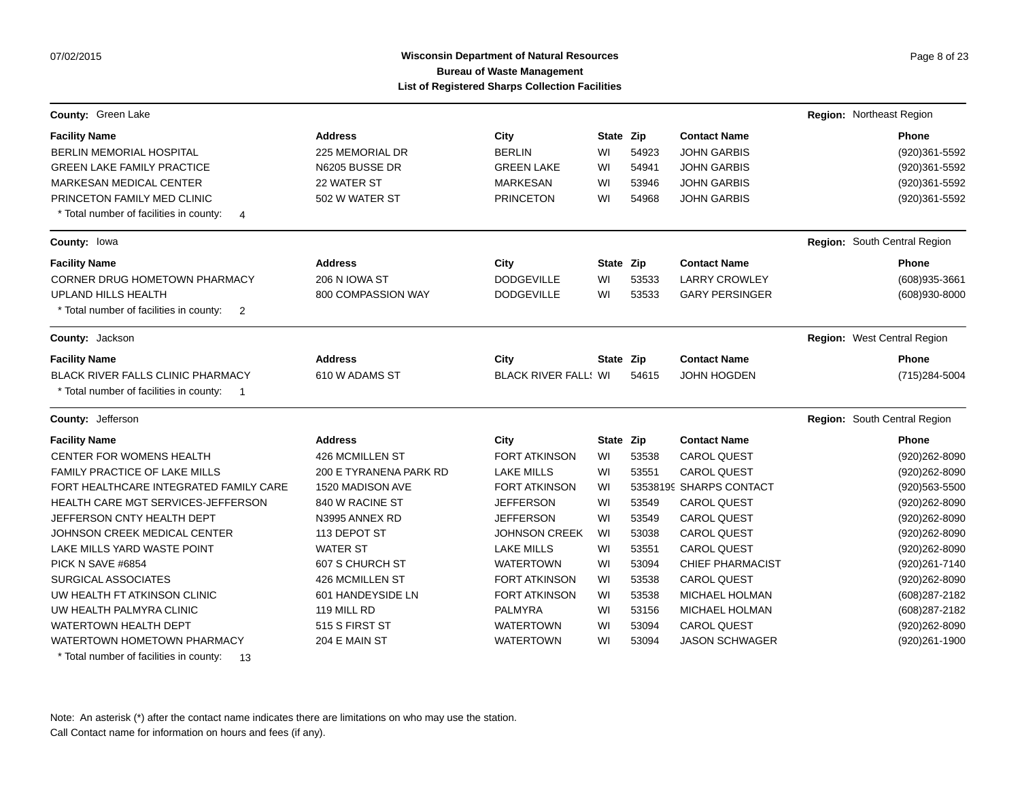# Wisconsin Department of Natural Resources **Page 8 of 23** Page 8 of 23 **Bureau of Waste Management List of Registered Sharps Collection Facilities**

| County: Green Lake                                        |                        |                             |           |       |                         | Region: Northeast Region     |                |
|-----------------------------------------------------------|------------------------|-----------------------------|-----------|-------|-------------------------|------------------------------|----------------|
| <b>Facility Name</b>                                      | <b>Address</b>         | City                        | State Zip |       | <b>Contact Name</b>     |                              | <b>Phone</b>   |
| <b>BERLIN MEMORIAL HOSPITAL</b>                           | 225 MEMORIAL DR        | <b>BERLIN</b>               | WI        | 54923 | <b>JOHN GARBIS</b>      |                              | (920)361-5592  |
| <b>GREEN LAKE FAMILY PRACTICE</b>                         | N6205 BUSSE DR         | <b>GREEN LAKE</b>           | WI        | 54941 | <b>JOHN GARBIS</b>      |                              | (920)361-5592  |
| <b>MARKESAN MEDICAL CENTER</b>                            | 22 WATER ST            | <b>MARKESAN</b>             | WI        | 53946 | <b>JOHN GARBIS</b>      |                              | (920)361-5592  |
| PRINCETON FAMILY MED CLINIC                               | 502 W WATER ST         | <b>PRINCETON</b>            | WI        | 54968 | <b>JOHN GARBIS</b>      |                              | (920)361-5592  |
| * Total number of facilities in county:<br>$\overline{4}$ |                        |                             |           |       |                         |                              |                |
| County: lowa                                              |                        |                             |           |       |                         | Region: South Central Region |                |
| <b>Facility Name</b>                                      | <b>Address</b>         | City                        | State Zip |       | <b>Contact Name</b>     |                              | Phone          |
| <b>CORNER DRUG HOMETOWN PHARMACY</b>                      | 206 N IOWA ST          | <b>DODGEVILLE</b>           | WI        | 53533 | <b>LARRY CROWLEY</b>    |                              | (608) 935-3661 |
| <b>UPLAND HILLS HEALTH</b>                                | 800 COMPASSION WAY     | <b>DODGEVILLE</b>           | WI        | 53533 | <b>GARY PERSINGER</b>   |                              | (608)930-8000  |
| * Total number of facilities in county:<br>$\overline{2}$ |                        |                             |           |       |                         |                              |                |
| County: Jackson                                           |                        |                             |           |       |                         | Region: West Central Region  |                |
| <b>Facility Name</b>                                      | <b>Address</b>         | City                        | State Zip |       | <b>Contact Name</b>     |                              | Phone          |
| <b>BLACK RIVER FALLS CLINIC PHARMACY</b>                  | 610 W ADAMS ST         | <b>BLACK RIVER FALL: WI</b> |           | 54615 | <b>JOHN HOGDEN</b>      |                              | (715) 284-5004 |
| * Total number of facilities in county:<br>$\blacksquare$ |                        |                             |           |       |                         |                              |                |
| County: Jefferson                                         |                        |                             |           |       |                         | Region: South Central Region |                |
| <b>Facility Name</b>                                      | <b>Address</b>         | City                        | State Zip |       | <b>Contact Name</b>     |                              | <b>Phone</b>   |
| <b>CENTER FOR WOMENS HEALTH</b>                           | 426 MCMILLEN ST        | <b>FORT ATKINSON</b>        | WI        | 53538 | <b>CAROL QUEST</b>      |                              | (920)262-8090  |
| <b>FAMILY PRACTICE OF LAKE MILLS</b>                      | 200 E TYRANENA PARK RD | <b>LAKE MILLS</b>           | WI        | 53551 | <b>CAROL QUEST</b>      |                              | (920) 262-8090 |
| FORT HEALTHCARE INTEGRATED FAMILY CARE                    | 1520 MADISON AVE       | <b>FORT ATKINSON</b>        | WI        |       | 53538199 SHARPS CONTACT |                              | (920) 563-5500 |
| <b>HEALTH CARE MGT SERVICES-JEFFERSON</b>                 | 840 W RACINE ST        | <b>JEFFERSON</b>            | WI        | 53549 | <b>CAROL QUEST</b>      |                              | (920)262-8090  |
| JEFFERSON CNTY HEALTH DEPT                                | N3995 ANNEX RD         | <b>JEFFERSON</b>            | WI        | 53549 | <b>CAROL QUEST</b>      |                              | (920)262-8090  |
| JOHNSON CREEK MEDICAL CENTER                              | 113 DEPOT ST           | <b>JOHNSON CREEK</b>        | WI        | 53038 | <b>CAROL QUEST</b>      |                              | (920)262-8090  |
| LAKE MILLS YARD WASTE POINT                               | <b>WATER ST</b>        | <b>LAKE MILLS</b>           | WI        | 53551 | <b>CAROL QUEST</b>      |                              | (920) 262-8090 |
| PICK N SAVE #6854                                         | 607 S CHURCH ST        | <b>WATERTOWN</b>            | WI        | 53094 | <b>CHIEF PHARMACIST</b> |                              | (920)261-7140  |
| <b>SURGICAL ASSOCIATES</b>                                | 426 MCMILLEN ST        | <b>FORT ATKINSON</b>        | WI        | 53538 | <b>CAROL QUEST</b>      |                              | (920) 262-8090 |
| UW HEALTH FT ATKINSON CLINIC                              | 601 HANDEYSIDE LN      | <b>FORT ATKINSON</b>        | WI        | 53538 | MICHAEL HOLMAN          |                              | (608) 287-2182 |
| UW HEALTH PALMYRA CLINIC                                  | 119 MILL RD            | <b>PALMYRA</b>              | WI        | 53156 | <b>MICHAEL HOLMAN</b>   |                              | (608) 287-2182 |
| <b>WATERTOWN HEALTH DEPT</b>                              | 515 S FIRST ST         | <b>WATERTOWN</b>            | WI        | 53094 | <b>CAROL QUEST</b>      |                              | (920) 262-8090 |
| WATERTOWN HOMETOWN PHARMACY                               | 204 E MAIN ST          | <b>WATERTOWN</b>            | WI        | 53094 | <b>JASON SCHWAGER</b>   |                              | (920)261-1900  |

\* Total number of facilities in county: 13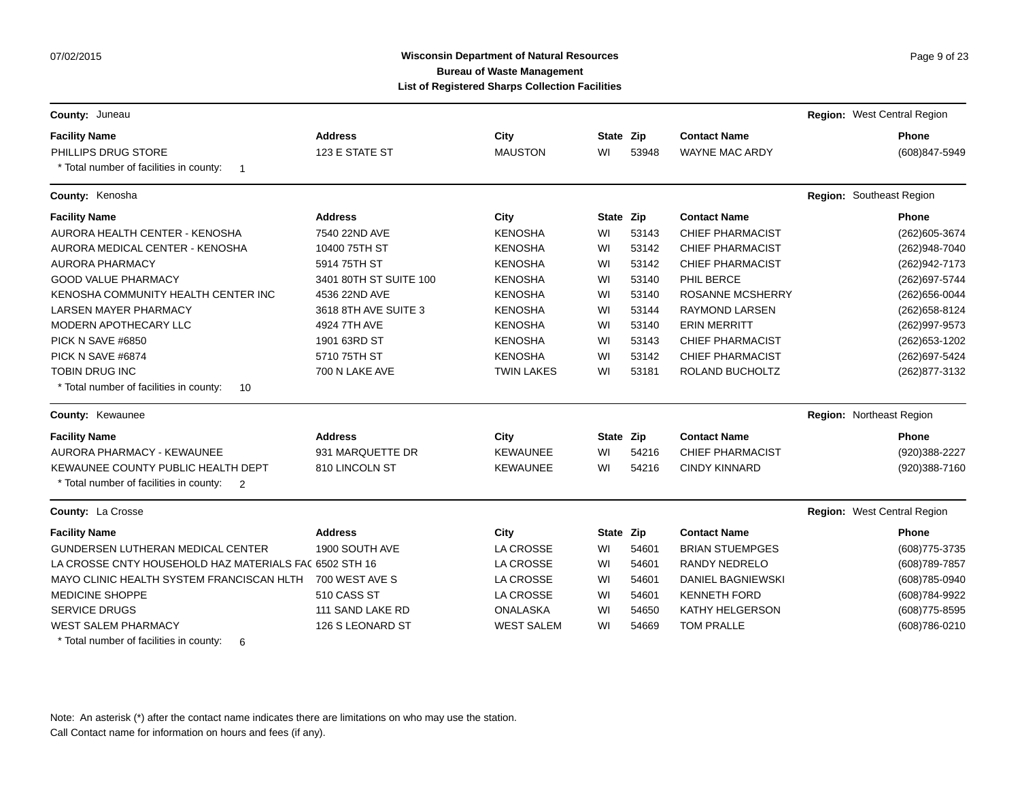### Wisconsin Department of Natural Resources **Page 9 of 23** Page 9 of 23 **Bureau of Waste Management List of Registered Sharps Collection Facilities**

| County: Juneau                                            |                        |                   |           |       |                         | Region: West Central Region |
|-----------------------------------------------------------|------------------------|-------------------|-----------|-------|-------------------------|-----------------------------|
| <b>Facility Name</b>                                      | <b>Address</b>         | City              | State Zip |       | <b>Contact Name</b>     | <b>Phone</b>                |
| PHILLIPS DRUG STORE                                       | 123 E STATE ST         | <b>MAUSTON</b>    | WI        | 53948 | <b>WAYNE MAC ARDY</b>   | (608)847-5949               |
| * Total number of facilities in county:<br>$\overline{1}$ |                        |                   |           |       |                         |                             |
| County: Kenosha                                           |                        |                   |           |       |                         | Region: Southeast Region    |
| <b>Facility Name</b>                                      | <b>Address</b>         | City              | State Zip |       | <b>Contact Name</b>     | <b>Phone</b>                |
| AURORA HEALTH CENTER - KENOSHA                            | 7540 22ND AVE          | <b>KENOSHA</b>    | WI        | 53143 | <b>CHIEF PHARMACIST</b> | (262) 605-3674              |
| AURORA MEDICAL CENTER - KENOSHA                           | 10400 75TH ST          | <b>KENOSHA</b>    | WI        | 53142 | <b>CHIEF PHARMACIST</b> | (262)948-7040               |
| AURORA PHARMACY                                           | 5914 75TH ST           | <b>KENOSHA</b>    | WI        | 53142 | <b>CHIEF PHARMACIST</b> | (262) 942-7173              |
| <b>GOOD VALUE PHARMACY</b>                                | 3401 80TH ST SUITE 100 | <b>KENOSHA</b>    | WI        | 53140 | PHIL BERCE              | (262) 697-5744              |
| KENOSHA COMMUNITY HEALTH CENTER INC                       | 4536 22ND AVE          | <b>KENOSHA</b>    | WI        | 53140 | <b>ROSANNE MCSHERRY</b> | (262) 656-0044              |
| <b>LARSEN MAYER PHARMACY</b>                              | 3618 8TH AVE SUITE 3   | <b>KENOSHA</b>    | WI        | 53144 | <b>RAYMOND LARSEN</b>   | (262) 658-8124              |
| MODERN APOTHECARY LLC                                     | 4924 7TH AVE           | <b>KENOSHA</b>    | WI        | 53140 | <b>ERIN MERRITT</b>     | (262) 997-9573              |
| PICK N SAVE #6850                                         | 1901 63RD ST           | <b>KENOSHA</b>    | WI        | 53143 | <b>CHIEF PHARMACIST</b> | (262) 653-1202              |
| PICK N SAVE #6874                                         | 5710 75TH ST           | <b>KENOSHA</b>    | WI        | 53142 | CHIEF PHARMACIST        | (262) 697-5424              |
| <b>TOBIN DRUG INC</b>                                     | 700 N LAKE AVE         | <b>TWIN LAKES</b> | WI        | 53181 | ROLAND BUCHOLTZ         | (262) 877-3132              |
| * Total number of facilities in county:<br>10             |                        |                   |           |       |                         |                             |
| County: Kewaunee                                          |                        |                   |           |       |                         | Region: Northeast Region    |
| <b>Facility Name</b>                                      | <b>Address</b>         | City              | State Zip |       | <b>Contact Name</b>     | <b>Phone</b>                |
| <b>AURORA PHARMACY - KEWAUNEE</b>                         | 931 MARQUETTE DR       | <b>KEWAUNEE</b>   | WI        | 54216 | <b>CHIEF PHARMACIST</b> | (920)388-2227               |
| KEWAUNEE COUNTY PUBLIC HEALTH DEPT                        | 810 LINCOLN ST         | <b>KEWAUNEE</b>   | WI        | 54216 | <b>CINDY KINNARD</b>    | (920)388-7160               |
| * Total number of facilities in county:<br>$\overline{2}$ |                        |                   |           |       |                         |                             |
| County: La Crosse                                         |                        |                   |           |       |                         | Region: West Central Region |
| <b>Facility Name</b>                                      | <b>Address</b>         | City              | State Zip |       | <b>Contact Name</b>     | <b>Phone</b>                |
| GUNDERSEN LUTHERAN MEDICAL CENTER                         | 1900 SOUTH AVE         | LA CROSSE         | WI        | 54601 | <b>BRIAN STUEMPGES</b>  | (608) 775-3735              |
| LA CROSSE CNTY HOUSEHOLD HAZ MATERIALS FAC 6502 STH 16    |                        | <b>LA CROSSE</b>  | WI        | 54601 | <b>RANDY NEDRELO</b>    | (608) 789-7857              |
| MAYO CLINIC HEALTH SYSTEM FRANCISCAN HLTH                 | 700 WEST AVE S         | LA CROSSE         | WI        | 54601 | DANIEL BAGNIEWSKI       | (608) 785-0940              |
| <b>MEDICINE SHOPPE</b>                                    | 510 CASS ST            | <b>LA CROSSE</b>  | WI        | 54601 | <b>KENNETH FORD</b>     | (608) 784-9922              |
| <b>SERVICE DRUGS</b>                                      | 111 SAND LAKE RD       | <b>ONALASKA</b>   | WI        | 54650 | KATHY HELGERSON         | (608) 775-8595              |
| <b>WEST SALEM PHARMACY</b>                                | 126 S LEONARD ST       | <b>WEST SALEM</b> | WI        | 54669 | <b>TOM PRALLE</b>       | (608) 786-0210              |
| * Total number of facilities in county:<br>6              |                        |                   |           |       |                         |                             |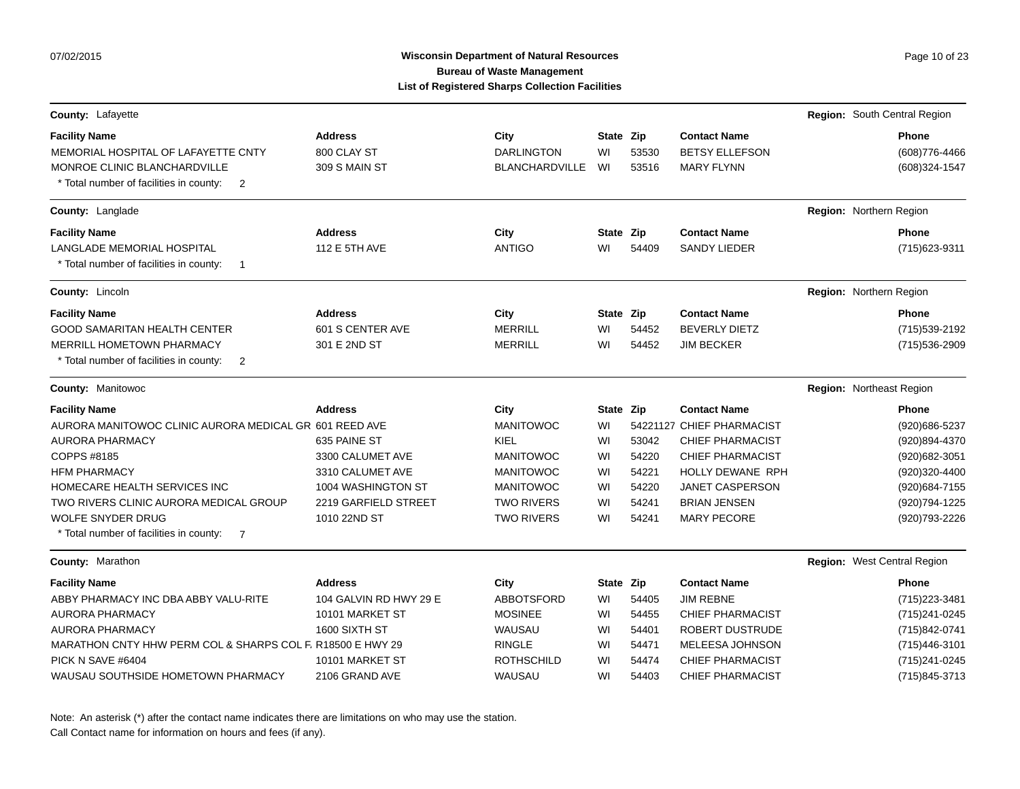# Wisconsin Department of Natural Resources **Page 10 of 23** Page 10 of 23 **Bureau of Waste Management List of Registered Sharps Collection Facilities**

| County: Lafayette                                                                                                                                                                                                                                                                                          |                                                                                                                                      |                                                                                                                                        |                                                     |                                                    |                                                                                                                                                                                            | Region: South Central Region                                                                                                             |
|------------------------------------------------------------------------------------------------------------------------------------------------------------------------------------------------------------------------------------------------------------------------------------------------------------|--------------------------------------------------------------------------------------------------------------------------------------|----------------------------------------------------------------------------------------------------------------------------------------|-----------------------------------------------------|----------------------------------------------------|--------------------------------------------------------------------------------------------------------------------------------------------------------------------------------------------|------------------------------------------------------------------------------------------------------------------------------------------|
| <b>Facility Name</b><br>MEMORIAL HOSPITAL OF LAFAYETTE CNTY<br>MONROE CLINIC BLANCHARDVILLE<br>* Total number of facilities in county:<br>2                                                                                                                                                                | <b>Address</b><br>800 CLAY ST<br>309 S MAIN ST                                                                                       | City<br><b>DARLINGTON</b><br><b>BLANCHARDVILLE</b>                                                                                     | State Zip<br>WI<br>WI                               | 53530<br>53516                                     | <b>Contact Name</b><br><b>BETSY ELLEFSON</b><br><b>MARY FLYNN</b>                                                                                                                          | <b>Phone</b><br>(608) 776-4466<br>(608)324-1547                                                                                          |
| County: Langlade                                                                                                                                                                                                                                                                                           |                                                                                                                                      |                                                                                                                                        |                                                     |                                                    |                                                                                                                                                                                            | Region: Northern Region                                                                                                                  |
| <b>Facility Name</b><br>LANGLADE MEMORIAL HOSPITAL<br>* Total number of facilities in county:<br>$\overline{\mathbf{1}}$                                                                                                                                                                                   | <b>Address</b><br>112 E 5TH AVE                                                                                                      | City<br><b>ANTIGO</b>                                                                                                                  | State Zip<br>WI                                     | 54409                                              | <b>Contact Name</b><br><b>SANDY LIEDER</b>                                                                                                                                                 | <b>Phone</b><br>(715) 623-9311                                                                                                           |
| <b>County: Lincoln</b>                                                                                                                                                                                                                                                                                     |                                                                                                                                      |                                                                                                                                        |                                                     |                                                    |                                                                                                                                                                                            | Region: Northern Region                                                                                                                  |
| <b>Facility Name</b><br><b>GOOD SAMARITAN HEALTH CENTER</b><br><b>MERRILL HOMETOWN PHARMACY</b><br>* Total number of facilities in county:<br>2                                                                                                                                                            | <b>Address</b><br>601 S CENTER AVE<br>301 E 2ND ST                                                                                   | City<br><b>MERRILL</b><br><b>MERRILL</b>                                                                                               | State Zip<br>WI<br>WI                               | 54452<br>54452                                     | <b>Contact Name</b><br><b>BEVERLY DIETZ</b><br><b>JIM BECKER</b>                                                                                                                           | <b>Phone</b><br>(715) 539-2192<br>(715) 536-2909                                                                                         |
| County: Manitowoc                                                                                                                                                                                                                                                                                          |                                                                                                                                      |                                                                                                                                        |                                                     |                                                    |                                                                                                                                                                                            | Region: Northeast Region                                                                                                                 |
| <b>Facility Name</b><br>AURORA MANITOWOC CLINIC AURORA MEDICAL GR 601 REED AVE<br>AURORA PHARMACY<br>COPPS #8185<br><b>HFM PHARMACY</b><br>HOMECARE HEALTH SERVICES INC<br>TWO RIVERS CLINIC AURORA MEDICAL GROUP<br><b>WOLFE SNYDER DRUG</b><br>* Total number of facilities in county:<br>$\overline{7}$ | <b>Address</b><br>635 PAINE ST<br>3300 CALUMET AVE<br>3310 CALUMET AVE<br>1004 WASHINGTON ST<br>2219 GARFIELD STREET<br>1010 22ND ST | City<br><b>MANITOWOC</b><br>KIEL<br><b>MANITOWOC</b><br><b>MANITOWOC</b><br><b>MANITOWOC</b><br><b>TWO RIVERS</b><br><b>TWO RIVERS</b> | State Zip<br>WI<br>WI<br>WI<br>WI<br>WI<br>WI<br>WI | 53042<br>54220<br>54221<br>54220<br>54241<br>54241 | <b>Contact Name</b><br>54221127 CHIEF PHARMACIST<br><b>CHIEF PHARMACIST</b><br><b>CHIEF PHARMACIST</b><br>HOLLY DEWANE RPH<br>JANET CASPERSON<br><b>BRIAN JENSEN</b><br><b>MARY PECORE</b> | <b>Phone</b><br>(920) 686-5237<br>(920)894-4370<br>(920) 682-3051<br>(920)320-4400<br>(920) 684-7155<br>(920) 794-1225<br>(920) 793-2226 |
| County: Marathon                                                                                                                                                                                                                                                                                           |                                                                                                                                      |                                                                                                                                        |                                                     |                                                    |                                                                                                                                                                                            | Region: West Central Region                                                                                                              |
| <b>Facility Name</b><br>ABBY PHARMACY INC DBA ABBY VALU-RITE<br>AURORA PHARMACY<br><b>AURORA PHARMACY</b><br>MARATHON CNTY HHW PERM COL & SHARPS COL F, R18500 E HWY 29<br>PICK N SAVE #6404<br>WAUSAU SOUTHSIDE HOMETOWN PHARMACY                                                                         | <b>Address</b><br>104 GALVIN RD HWY 29 E<br>10101 MARKET ST<br>1600 SIXTH ST<br>10101 MARKET ST<br>2106 GRAND AVE                    | City<br><b>ABBOTSFORD</b><br><b>MOSINEE</b><br>WAUSAU<br><b>RINGLE</b><br><b>ROTHSCHILD</b><br>WAUSAU                                  | State Zip<br>WI<br>WI<br>WI<br>WI<br>WI<br>WI       | 54405<br>54455<br>54401<br>54471<br>54474<br>54403 | <b>Contact Name</b><br><b>JIM REBNE</b><br><b>CHIEF PHARMACIST</b><br>ROBERT DUSTRUDE<br>MELEESA JOHNSON<br><b>CHIEF PHARMACIST</b><br><b>CHIEF PHARMACIST</b>                             | <b>Phone</b><br>(715) 223-3481<br>(715) 241-0245<br>(715)842-0741<br>(715) 446-3101<br>(715) 241-0245<br>(715) 845-3713                  |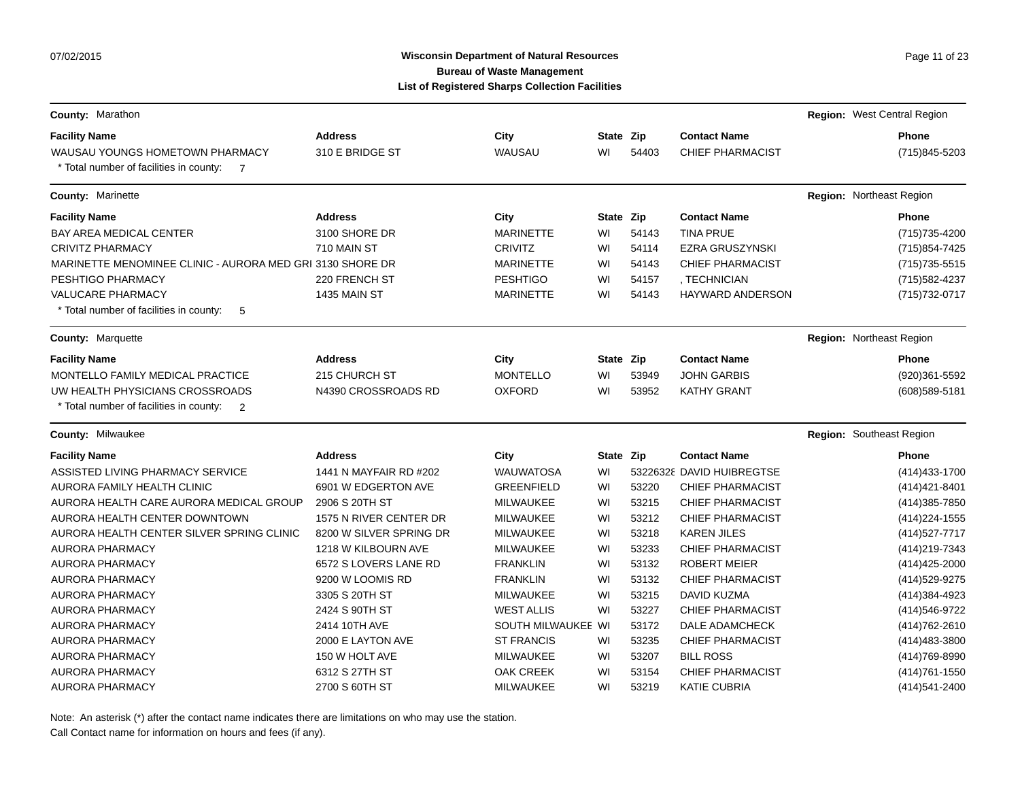### **Wisconsin Department of Natural Resources Page 11 of 23 Page 11 of 23 Bureau of Waste Management List of Registered Sharps Collection Facilities**

| <b>County: Marathon</b>                                   |                         |                    |           |       |                           | Region: West Central Region     |
|-----------------------------------------------------------|-------------------------|--------------------|-----------|-------|---------------------------|---------------------------------|
| <b>Facility Name</b>                                      | <b>Address</b>          | City               | State Zip |       | <b>Contact Name</b>       | Phone                           |
| WAUSAU YOUNGS HOMETOWN PHARMACY                           | 310 E BRIDGE ST         | WAUSAU             | WI        | 54403 | <b>CHIEF PHARMACIST</b>   | (715)845-5203                   |
| * Total number of facilities in county:<br>$\overline{7}$ |                         |                    |           |       |                           |                                 |
| <b>County: Marinette</b>                                  |                         |                    |           |       |                           | <b>Region: Northeast Region</b> |
| <b>Facility Name</b>                                      | <b>Address</b>          | City               | State Zip |       | <b>Contact Name</b>       | <b>Phone</b>                    |
| BAY AREA MEDICAL CENTER                                   | 3100 SHORE DR           | <b>MARINETTE</b>   | WI        | 54143 | <b>TINA PRUE</b>          | (715) 735-4200                  |
| <b>CRIVITZ PHARMACY</b>                                   | 710 MAIN ST             | <b>CRIVITZ</b>     | WI        | 54114 | <b>EZRA GRUSZYNSKI</b>    | (715) 854-7425                  |
| MARINETTE MENOMINEE CLINIC - AURORA MED GRI 3130 SHORE DR |                         | <b>MARINETTE</b>   | WI        | 54143 | <b>CHIEF PHARMACIST</b>   | $(715)735 - 5515$               |
| PESHTIGO PHARMACY                                         | 220 FRENCH ST           | <b>PESHTIGO</b>    | WI        | 54157 | , TECHNICIAN              | (715) 582-4237                  |
| <b>VALUCARE PHARMACY</b>                                  | 1435 MAIN ST            | <b>MARINETTE</b>   | WI        | 54143 | <b>HAYWARD ANDERSON</b>   | (715) 732-0717                  |
| * Total number of facilities in county:<br>5              |                         |                    |           |       |                           |                                 |
| <b>County: Marquette</b>                                  |                         |                    |           |       |                           | Region: Northeast Region        |
| <b>Facility Name</b>                                      | <b>Address</b>          | City               | State Zip |       | <b>Contact Name</b>       | <b>Phone</b>                    |
| MONTELLO FAMILY MEDICAL PRACTICE                          | 215 CHURCH ST           | <b>MONTELLO</b>    | WI        | 53949 | <b>JOHN GARBIS</b>        | (920)361-5592                   |
| UW HEALTH PHYSICIANS CROSSROADS                           | N4390 CROSSROADS RD     | <b>OXFORD</b>      | WI        | 53952 | <b>KATHY GRANT</b>        | (608) 589-5181                  |
| * Total number of facilities in county:<br>$\overline{2}$ |                         |                    |           |       |                           |                                 |
| <b>County: Milwaukee</b>                                  |                         |                    |           |       |                           | Region: Southeast Region        |
| <b>Facility Name</b>                                      | <b>Address</b>          | City               | State Zip |       | <b>Contact Name</b>       | <b>Phone</b>                    |
| ASSISTED LIVING PHARMACY SERVICE                          | 1441 N MAYFAIR RD #202  | <b>WAUWATOSA</b>   | WI        |       | 53226328 DAVID HUIBREGTSE | (414) 433-1700                  |
| AURORA FAMILY HEALTH CLINIC                               | 6901 W EDGERTON AVE     | <b>GREENFIELD</b>  | WI        | 53220 | <b>CHIEF PHARMACIST</b>   | (414) 421-8401                  |
| AURORA HEALTH CARE AURORA MEDICAL GROUP                   | 2906 S 20TH ST          | MILWAUKEE          | WI        | 53215 | <b>CHIEF PHARMACIST</b>   | (414) 385-7850                  |
| AURORA HEALTH CENTER DOWNTOWN                             | 1575 N RIVER CENTER DR  | <b>MILWAUKEE</b>   | WI        | 53212 | <b>CHIEF PHARMACIST</b>   | (414) 224-1555                  |
| AURORA HEALTH CENTER SILVER SPRING CLINIC                 | 8200 W SILVER SPRING DR | <b>MILWAUKEE</b>   | WI        | 53218 | <b>KAREN JILES</b>        | (414) 527-7717                  |
| AURORA PHARMACY                                           | 1218 W KILBOURN AVE     | <b>MILWAUKEE</b>   | WI        | 53233 | <b>CHIEF PHARMACIST</b>   | (414) 219-7343                  |
| AURORA PHARMACY                                           | 6572 S LOVERS LANE RD   | <b>FRANKLIN</b>    | WI        | 53132 | ROBERT MEIER              | (414) 425-2000                  |
| AURORA PHARMACY                                           | 9200 W LOOMIS RD        | <b>FRANKLIN</b>    | WI        | 53132 | <b>CHIEF PHARMACIST</b>   | (414) 529-9275                  |
| <b>AURORA PHARMACY</b>                                    | 3305 S 20TH ST          | MILWAUKEE          | WI        | 53215 | DAVID KUZMA               | (414) 384-4923                  |
| <b>AURORA PHARMACY</b>                                    | 2424 S 90TH ST          | <b>WEST ALLIS</b>  | WI        | 53227 | <b>CHIEF PHARMACIST</b>   | (414) 546-9722                  |
| <b>AURORA PHARMACY</b>                                    | 2414 10TH AVE           | SOUTH MILWAUKEE WI |           | 53172 | DALE ADAMCHECK            | (414) 762-2610                  |
| <b>AURORA PHARMACY</b>                                    | 2000 E LAYTON AVE       | <b>ST FRANCIS</b>  | WI        | 53235 | <b>CHIEF PHARMACIST</b>   | (414) 483-3800                  |
| <b>AURORA PHARMACY</b>                                    | 150 W HOLT AVE          | MILWAUKEE          | WI        | 53207 | <b>BILL ROSS</b>          | (414) 769-8990                  |
| <b>AURORA PHARMACY</b>                                    | 6312 S 27TH ST          | <b>OAK CREEK</b>   | WI        | 53154 | <b>CHIEF PHARMACIST</b>   | (414) 761 - 1550                |
| AURORA PHARMACY                                           | 2700 S 60TH ST          | <b>MILWAUKEE</b>   | WI        | 53219 | <b>KATIE CUBRIA</b>       | (414)541-2400                   |

Note: An asterisk (\*) after the contact name indicates there are limitations on who may use the station.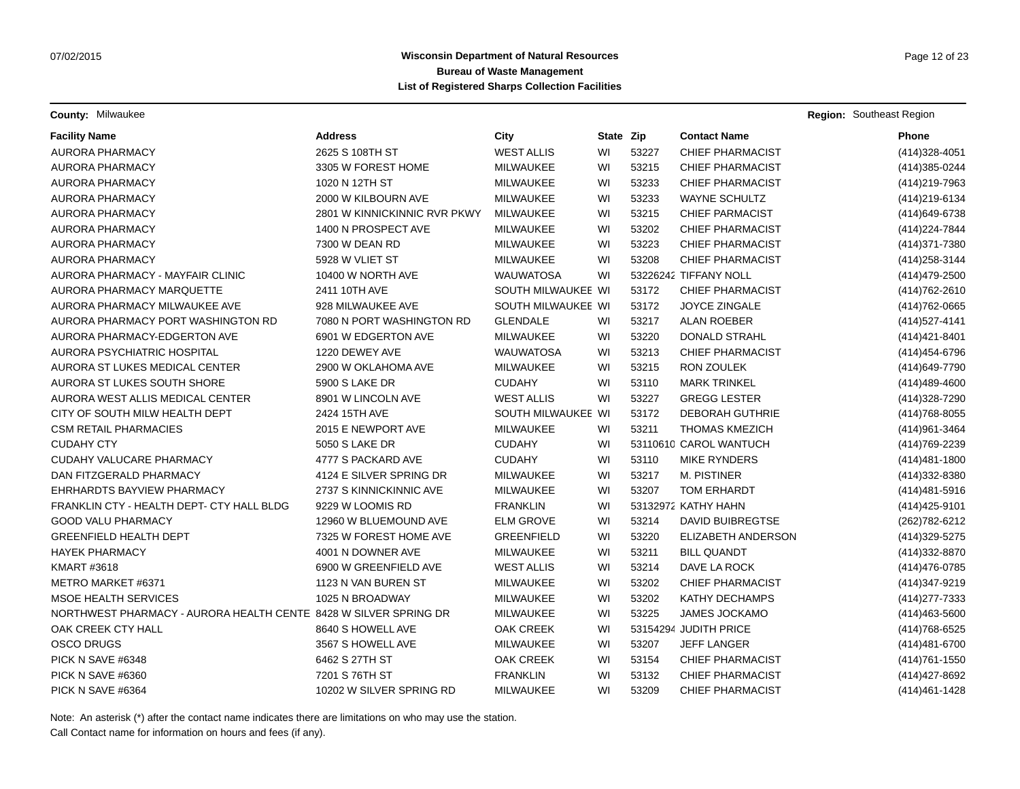**County:** Milwaukee **Region:** Southeast Region: Southeast Region: Southeast Region: Southeast Region: Southeast Region

| <b>Facility Name</b>                                             | <b>Address</b>               | City               | State Zip |       | <b>Contact Name</b>     | Phone             |
|------------------------------------------------------------------|------------------------------|--------------------|-----------|-------|-------------------------|-------------------|
| <b>AURORA PHARMACY</b>                                           | 2625 S 108TH ST              | <b>WEST ALLIS</b>  | WI        | 53227 | <b>CHIEF PHARMACIST</b> | (414) 328-4051    |
| AURORA PHARMACY                                                  | 3305 W FOREST HOME           | <b>MILWAUKEE</b>   | WI        | 53215 | <b>CHIEF PHARMACIST</b> | (414) 385-0244    |
| <b>AURORA PHARMACY</b>                                           | 1020 N 12TH ST               | MILWAUKEE          | WI        | 53233 | <b>CHIEF PHARMACIST</b> | (414) 219-7963    |
| <b>AURORA PHARMACY</b>                                           | 2000 W KILBOURN AVE          | MILWAUKEE          | WI        | 53233 | <b>WAYNE SCHULTZ</b>    | (414) 219-6134    |
| AURORA PHARMACY                                                  | 2801 W KINNICKINNIC RVR PKWY | MILWAUKEE          | WI        | 53215 | <b>CHIEF PARMACIST</b>  | (414) 649-6738    |
| <b>AURORA PHARMACY</b>                                           | 1400 N PROSPECT AVE          | MILWAUKEE          | WI        | 53202 | <b>CHIEF PHARMACIST</b> | (414) 224-7844    |
| <b>AURORA PHARMACY</b>                                           | 7300 W DEAN RD               | MILWAUKEE          | WI        | 53223 | <b>CHIEF PHARMACIST</b> | (414) 371-7380    |
| <b>AURORA PHARMACY</b>                                           | 5928 W VLIET ST              | MILWAUKEE          | WI        | 53208 | <b>CHIEF PHARMACIST</b> | (414) 258-3144    |
| AURORA PHARMACY - MAYFAIR CLINIC                                 | 10400 W NORTH AVE            | <b>WAUWATOSA</b>   | WI        |       | 53226242 TIFFANY NOLL   | (414) 479-2500    |
| AURORA PHARMACY MARQUETTE                                        | 2411 10TH AVE                | SOUTH MILWAUKEE WI |           | 53172 | <b>CHIEF PHARMACIST</b> | (414) 762-2610    |
| AURORA PHARMACY MILWAUKEE AVE                                    | 928 MILWAUKEE AVE            | SOUTH MILWAUKEE WI |           | 53172 | <b>JOYCE ZINGALE</b>    | (414) 762-0665    |
| AURORA PHARMACY PORT WASHINGTON RD                               | 7080 N PORT WASHINGTON RD    | <b>GLENDALE</b>    | WI        | 53217 | ALAN ROEBER             | (414) 527-4141    |
| AURORA PHARMACY-EDGERTON AVE                                     | 6901 W EDGERTON AVE          | <b>MILWAUKEE</b>   | WI        | 53220 | <b>DONALD STRAHL</b>    | (414) 421-8401    |
| AURORA PSYCHIATRIC HOSPITAL                                      | 1220 DEWEY AVE               | <b>WAUWATOSA</b>   | WI        | 53213 | <b>CHIEF PHARMACIST</b> | (414) 454-6796    |
| AURORA ST LUKES MEDICAL CENTER                                   | 2900 W OKLAHOMA AVE          | MILWAUKEE          | WI        | 53215 | <b>RON ZOULEK</b>       | (414) 649-7790    |
| AURORA ST LUKES SOUTH SHORE                                      | 5900 S LAKE DR               | <b>CUDAHY</b>      | WI        | 53110 | <b>MARK TRINKEL</b>     | (414)489-4600     |
| AURORA WEST ALLIS MEDICAL CENTER                                 | 8901 W LINCOLN AVE           | <b>WEST ALLIS</b>  | WI        | 53227 | <b>GREGG LESTER</b>     | (414) 328-7290    |
| CITY OF SOUTH MILW HEALTH DEPT                                   | 2424 15TH AVE                | SOUTH MILWAUKEE WI |           | 53172 | <b>DEBORAH GUTHRIE</b>  | (414) 768-8055    |
| <b>CSM RETAIL PHARMACIES</b>                                     | 2015 E NEWPORT AVE           | <b>MILWAUKEE</b>   | WI        | 53211 | <b>THOMAS KMEZICH</b>   | (414) 961-3464    |
| <b>CUDAHY CTY</b>                                                | 5050 S LAKE DR               | <b>CUDAHY</b>      | WI        |       | 53110610 CAROL WANTUCH  | (414) 769-2239    |
| CUDAHY VALUCARE PHARMACY                                         | 4777 S PACKARD AVE           | <b>CUDAHY</b>      | WI        | 53110 | <b>MIKE RYNDERS</b>     | $(414)481 - 1800$ |
| DAN FITZGERALD PHARMACY                                          | 4124 E SILVER SPRING DR      | MILWAUKEE          | WI        | 53217 | M. PISTINER             | (414) 332-8380    |
| EHRHARDTS BAYVIEW PHARMACY                                       | 2737 S KINNICKINNIC AVE      | MILWAUKEE          | WI        | 53207 | TOM ERHARDT             | (414) 481-5916    |
| FRANKLIN CTY - HEALTH DEPT- CTY HALL BLDG                        | 9229 W LOOMIS RD             | <b>FRANKLIN</b>    | WI        |       | 53132972 KATHY HAHN     | (414) 425-9101    |
| <b>GOOD VALU PHARMACY</b>                                        | 12960 W BLUEMOUND AVE        | <b>ELM GROVE</b>   | WI        | 53214 | <b>DAVID BUIBREGTSE</b> | (262) 782-6212    |
| GREENFIELD HEALTH DEPT                                           | 7325 W FOREST HOME AVE       | <b>GREENFIELD</b>  | WI        | 53220 | ELIZABETH ANDERSON      | (414) 329-5275    |
| <b>HAYEK PHARMACY</b>                                            | 4001 N DOWNER AVE            | <b>MILWAUKEE</b>   | WI        | 53211 | <b>BILL QUANDT</b>      | (414) 332-8870    |
| <b>KMART #3618</b>                                               | 6900 W GREENFIELD AVE        | <b>WEST ALLIS</b>  | WI        | 53214 | DAVE LA ROCK            | (414) 476-0785    |
| METRO MARKET #6371                                               | 1123 N VAN BUREN ST          | MILWAUKEE          | WI        | 53202 | CHIEF PHARMACIST        | (414) 347-9219    |
| <b>MSOE HEALTH SERVICES</b>                                      | 1025 N BROADWAY              | MILWAUKEE          | WI        | 53202 | KATHY DECHAMPS          | (414) 277-7333    |
| NORTHWEST PHARMACY - AURORA HEALTH CENTE 8428 W SILVER SPRING DR |                              | MILWAUKEE          | WI        | 53225 | <b>JAMES JOCKAMO</b>    | (414) 463-5600    |
| OAK CREEK CTY HALL                                               | 8640 S HOWELL AVE            | <b>OAK CREEK</b>   | WI        |       | 53154294 JUDITH PRICE   | (414) 768-6525    |
| <b>OSCO DRUGS</b>                                                | 3567 S HOWELL AVE            | MILWAUKEE          | WI        | 53207 | <b>JEFF LANGER</b>      | (414) 481-6700    |
| PICK N SAVE #6348                                                | 6462 S 27TH ST               | <b>OAK CREEK</b>   | WI        | 53154 | <b>CHIEF PHARMACIST</b> | (414) 761-1550    |
| PICK N SAVE #6360                                                | 7201 S 76TH ST               | <b>FRANKLIN</b>    | WI        | 53132 | <b>CHIEF PHARMACIST</b> | (414) 427-8692    |
| PICK N SAVE #6364                                                | 10202 W SILVER SPRING RD     | <b>MILWAUKEE</b>   | WI        | 53209 | <b>CHIEF PHARMACIST</b> | (414) 461 - 1428  |

Note: An asterisk (\*) after the contact name indicates there are limitations on who may use the station.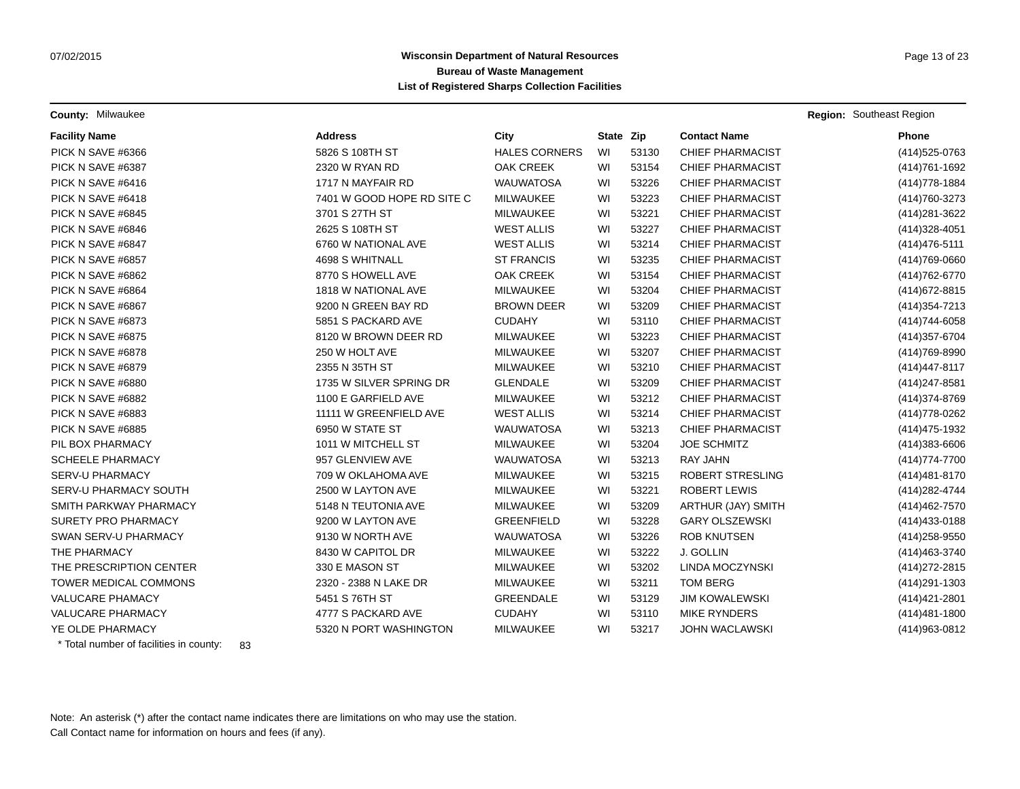**County:** Milwaukee **Region:** Southeast Region: Southeast Region: Southeast Region: Southeast Region: Southeast Region

| <b>Facility Name</b>         | <b>Address</b>             | City                 | State Zip |       | <b>Contact Name</b>     | <b>Phone</b>   |
|------------------------------|----------------------------|----------------------|-----------|-------|-------------------------|----------------|
| PICK N SAVE #6366            | 5826 S 108TH ST            | <b>HALES CORNERS</b> | WI        | 53130 | <b>CHIEF PHARMACIST</b> | (414) 525-0763 |
| PICK N SAVE #6387            | <b>2320 W RYAN RD</b>      | <b>OAK CREEK</b>     | WI        | 53154 | <b>CHIEF PHARMACIST</b> | (414) 761-1692 |
| PICK N SAVE #6416            | 1717 N MAYFAIR RD          | <b>WAUWATOSA</b>     | WI        | 53226 | <b>CHIEF PHARMACIST</b> | (414) 778-1884 |
| PICK N SAVE #6418            | 7401 W GOOD HOPE RD SITE C | MILWAUKEE            | WI        | 53223 | <b>CHIEF PHARMACIST</b> | (414) 760-3273 |
| PICK N SAVE #6845            | 3701 S 27TH ST             | MILWAUKEE            | WI        | 53221 | <b>CHIEF PHARMACIST</b> | (414) 281-3622 |
| PICK N SAVE #6846            | 2625 S 108TH ST            | <b>WEST ALLIS</b>    | WI        | 53227 | <b>CHIEF PHARMACIST</b> | (414) 328-4051 |
| PICK N SAVE #6847            | 6760 W NATIONAL AVE        | <b>WEST ALLIS</b>    | WI        | 53214 | <b>CHIEF PHARMACIST</b> | (414) 476-5111 |
| PICK N SAVE #6857            | 4698 S WHITNALL            | <b>ST FRANCIS</b>    | WI        | 53235 | <b>CHIEF PHARMACIST</b> | (414) 769-0660 |
| PICK N SAVE #6862            | 8770 S HOWELL AVE          | <b>OAK CREEK</b>     | WI        | 53154 | <b>CHIEF PHARMACIST</b> | (414) 762-6770 |
| PICK N SAVE #6864            | 1818 W NATIONAL AVE        | <b>MILWAUKEE</b>     | WI        | 53204 | <b>CHIEF PHARMACIST</b> | (414) 672-8815 |
| PICK N SAVE #6867            | 9200 N GREEN BAY RD        | <b>BROWN DEER</b>    | WI        | 53209 | <b>CHIEF PHARMACIST</b> | (414) 354-7213 |
| PICK N SAVE #6873            | 5851 S PACKARD AVE         | <b>CUDAHY</b>        | WI        | 53110 | <b>CHIEF PHARMACIST</b> | (414) 744-6058 |
| PICK N SAVE #6875            | 8120 W BROWN DEER RD       | <b>MILWAUKEE</b>     | WI        | 53223 | <b>CHIEF PHARMACIST</b> | (414) 357-6704 |
| PICK N SAVE #6878            | 250 W HOLT AVE             | MILWAUKEE            | WI        | 53207 | <b>CHIEF PHARMACIST</b> | (414) 769-8990 |
| PICK N SAVE #6879            | 2355 N 35TH ST             | <b>MILWAUKEE</b>     | WI        | 53210 | <b>CHIEF PHARMACIST</b> | (414) 447-8117 |
| PICK N SAVE #6880            | 1735 W SILVER SPRING DR    | <b>GLENDALE</b>      | WI        | 53209 | <b>CHIEF PHARMACIST</b> | (414) 247-8581 |
| PICK N SAVE #6882            | 1100 E GARFIELD AVE        | <b>MILWAUKEE</b>     | WI        | 53212 | <b>CHIEF PHARMACIST</b> | (414) 374-8769 |
| PICK N SAVE #6883            | 11111 W GREENFIELD AVE     | <b>WEST ALLIS</b>    | WI        | 53214 | <b>CHIEF PHARMACIST</b> | (414) 778-0262 |
| PICK N SAVE #6885            | 6950 W STATE ST            | <b>WAUWATOSA</b>     | WI        | 53213 | <b>CHIEF PHARMACIST</b> | (414) 475-1932 |
| PIL BOX PHARMACY             | 1011 W MITCHELL ST         | <b>MILWAUKEE</b>     | WI        | 53204 | <b>JOE SCHMITZ</b>      | (414) 383-6606 |
| <b>SCHEELE PHARMACY</b>      | 957 GLENVIEW AVE           | <b>WAUWATOSA</b>     | WI        | 53213 | <b>RAY JAHN</b>         | (414) 774-7700 |
| <b>SERV-U PHARMACY</b>       | 709 W OKLAHOMA AVE         | MILWAUKEE            | WI        | 53215 | ROBERT STRESLING        | (414) 481-8170 |
| SERV-U PHARMACY SOUTH        | 2500 W LAYTON AVE          | MILWAUKEE            | WI        | 53221 | <b>ROBERT LEWIS</b>     | (414) 282-4744 |
| SMITH PARKWAY PHARMACY       | 5148 N TEUTONIA AVE        | MILWAUKEE            | WI        | 53209 | ARTHUR (JAY) SMITH      | (414) 462-7570 |
| <b>SURETY PRO PHARMACY</b>   | 9200 W LAYTON AVE          | <b>GREENFIELD</b>    | WI        | 53228 | <b>GARY OLSZEWSKI</b>   | (414) 433-0188 |
| SWAN SERV-U PHARMACY         | 9130 W NORTH AVE           | <b>WAUWATOSA</b>     | WI        | 53226 | <b>ROB KNUTSEN</b>      | (414) 258-9550 |
| THE PHARMACY                 | 8430 W CAPITOL DR          | <b>MILWAUKEE</b>     | WI        | 53222 | J. GOLLIN               | (414) 463-3740 |
| THE PRESCRIPTION CENTER      | 330 E MASON ST             | MILWAUKEE            | WI        | 53202 | LINDA MOCZYNSKI         | (414) 272-2815 |
| <b>TOWER MEDICAL COMMONS</b> | 2320 - 2388 N LAKE DR      | MILWAUKEE            | WI        | 53211 | <b>TOM BERG</b>         | (414) 291-1303 |
| <b>VALUCARE PHAMACY</b>      | 5451 S 76TH ST             | GREENDALE            | WI        | 53129 | <b>JIM KOWALEWSKI</b>   | (414) 421-2801 |
| <b>VALUCARE PHARMACY</b>     | 4777 S PACKARD AVE         | <b>CUDAHY</b>        | WI        | 53110 | <b>MIKE RYNDERS</b>     | (414) 481-1800 |
| YE OLDE PHARMACY             | 5320 N PORT WASHINGTON     | MILWAUKEE            | WI        | 53217 | <b>JOHN WACLAWSKI</b>   | (414) 963-0812 |

\* Total number of facilities in county: 83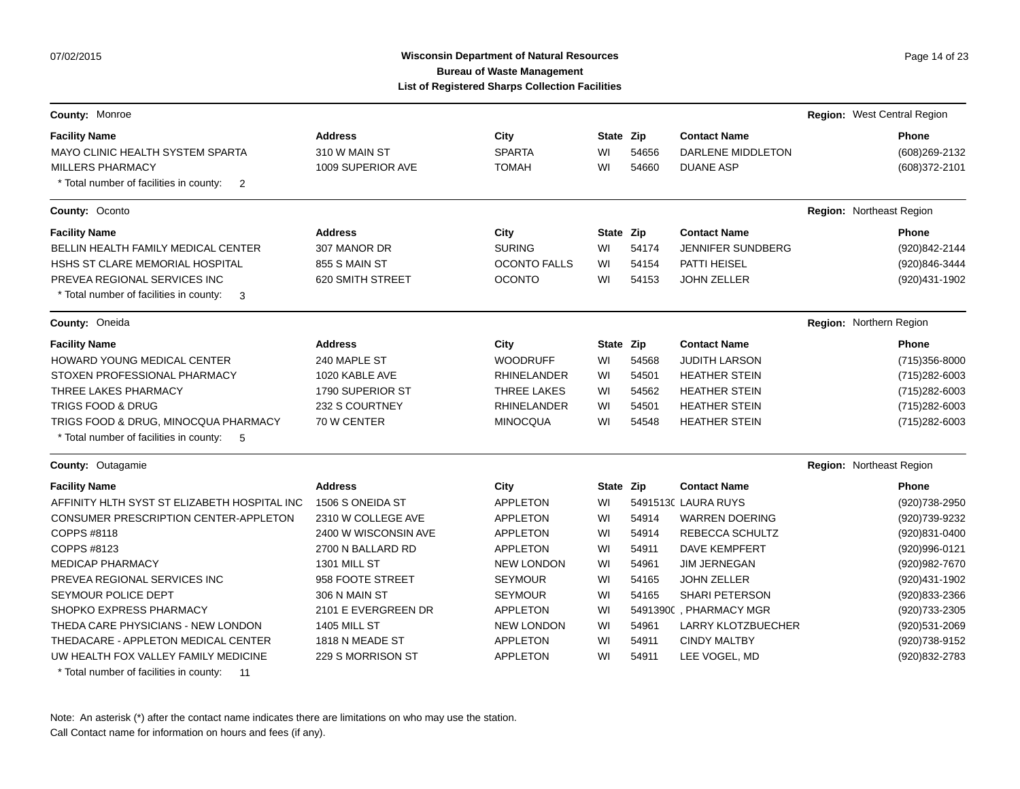# Wisconsin Department of Natural Resources **Page 14 of 23** Page 14 of 23 **Bureau of Waste Management List of Registered Sharps Collection Facilities**

| County: Monroe                                                                           |                      |                     |           |       |                           | Region: West Central Region |
|------------------------------------------------------------------------------------------|----------------------|---------------------|-----------|-------|---------------------------|-----------------------------|
| <b>Facility Name</b>                                                                     | <b>Address</b>       | City                | State Zip |       | <b>Contact Name</b>       | <b>Phone</b>                |
| MAYO CLINIC HEALTH SYSTEM SPARTA                                                         | 310 W MAIN ST        | <b>SPARTA</b>       | WI        | 54656 | DARLENE MIDDLETON         | (608) 269-2132              |
| <b>MILLERS PHARMACY</b><br>* Total number of facilities in county:<br>$\overline{2}$     | 1009 SUPERIOR AVE    | <b>TOMAH</b>        | WI        | 54660 | <b>DUANE ASP</b>          | (608) 372-2101              |
| County: Oconto                                                                           |                      |                     |           |       |                           | Region: Northeast Region    |
| <b>Facility Name</b>                                                                     | <b>Address</b>       | City                | State Zip |       | <b>Contact Name</b>       | <b>Phone</b>                |
| BELLIN HEALTH FAMILY MEDICAL CENTER                                                      | 307 MANOR DR         | <b>SURING</b>       | WI        | 54174 | <b>JENNIFER SUNDBERG</b>  | (920)842-2144               |
| HSHS ST CLARE MEMORIAL HOSPITAL                                                          | 855 S MAIN ST        | <b>OCONTO FALLS</b> | WI        | 54154 | PATTI HEISEL              | (920)846-3444               |
| PREVEA REGIONAL SERVICES INC<br>* Total number of facilities in county:<br>3             | 620 SMITH STREET     | <b>OCONTO</b>       | WI        | 54153 | <b>JOHN ZELLER</b>        | (920)431-1902               |
| County: Oneida                                                                           |                      |                     |           |       |                           | Region: Northern Region     |
| <b>Facility Name</b>                                                                     | <b>Address</b>       | City                | State Zip |       | <b>Contact Name</b>       | <b>Phone</b>                |
| HOWARD YOUNG MEDICAL CENTER                                                              | 240 MAPLE ST         | <b>WOODRUFF</b>     | WI        | 54568 | <b>JUDITH LARSON</b>      | (715) 356-8000              |
| STOXEN PROFESSIONAL PHARMACY                                                             | 1020 KABLE AVE       | <b>RHINELANDER</b>  | WI        | 54501 | <b>HEATHER STEIN</b>      | (715) 282-6003              |
| THREE LAKES PHARMACY                                                                     | 1790 SUPERIOR ST     | THREE LAKES         | WI        | 54562 | <b>HEATHER STEIN</b>      | (715) 282-6003              |
| <b>TRIGS FOOD &amp; DRUG</b>                                                             | 232 S COURTNEY       | <b>RHINELANDER</b>  | WI        | 54501 | <b>HEATHER STEIN</b>      | (715) 282-6003              |
| TRIGS FOOD & DRUG, MINOCQUA PHARMACY<br>* Total number of facilities in county:<br>- 5   | 70 W CENTER          | <b>MINOCQUA</b>     | WI        | 54548 | <b>HEATHER STEIN</b>      | (715) 282-6003              |
| County: Outagamie                                                                        |                      |                     |           |       |                           | Region: Northeast Region    |
| <b>Facility Name</b>                                                                     | <b>Address</b>       | City                | State Zip |       | <b>Contact Name</b>       | <b>Phone</b>                |
| AFFINITY HLTH SYST ST ELIZABETH HOSPITAL INC                                             | 1506 S ONEIDA ST     | <b>APPLETON</b>     | WI        |       | 54915130 LAURA RUYS       | (920) 738-2950              |
| CONSUMER PRESCRIPTION CENTER-APPLETON                                                    | 2310 W COLLEGE AVE   | <b>APPLETON</b>     | WI        | 54914 | <b>WARREN DOERING</b>     | (920)739-9232               |
| COPPS #8118                                                                              | 2400 W WISCONSIN AVE | <b>APPLETON</b>     | WI        | 54914 | REBECCA SCHULTZ           | (920)831-0400               |
| COPPS #8123                                                                              | 2700 N BALLARD RD    | <b>APPLETON</b>     | WI        | 54911 | <b>DAVE KEMPFERT</b>      | (920)996-0121               |
| <b>MEDICAP PHARMACY</b>                                                                  | 1301 MILL ST         | <b>NEW LONDON</b>   | WI        | 54961 | <b>JIM JERNEGAN</b>       | (920) 982-7670              |
| PREVEA REGIONAL SERVICES INC                                                             | 958 FOOTE STREET     | <b>SEYMOUR</b>      | WI        | 54165 | <b>JOHN ZELLER</b>        | (920)431-1902               |
| SEYMOUR POLICE DEPT                                                                      | 306 N MAIN ST        | <b>SEYMOUR</b>      | WI        | 54165 | <b>SHARI PETERSON</b>     | (920)833-2366               |
| SHOPKO EXPRESS PHARMACY                                                                  | 2101 E EVERGREEN DR  | <b>APPLETON</b>     | WI        |       | 54913900 . PHARMACY MGR   | (920) 733-2305              |
| THEDA CARE PHYSICIANS - NEW LONDON                                                       | <b>1405 MILL ST</b>  | <b>NEW LONDON</b>   | WI        | 54961 | <b>LARRY KLOTZBUECHER</b> | (920)531-2069               |
| THEDACARE - APPLETON MEDICAL CENTER                                                      | 1818 N MEADE ST      | <b>APPLETON</b>     | WI        | 54911 | <b>CINDY MALTBY</b>       | (920) 738-9152              |
| UW HEALTH FOX VALLEY FAMILY MEDICINE<br>* Total number of facilities in county:<br>$-11$ | 229 S MORRISON ST    | <b>APPLETON</b>     | WI        | 54911 | LEE VOGEL, MD             | (920) 832-2783              |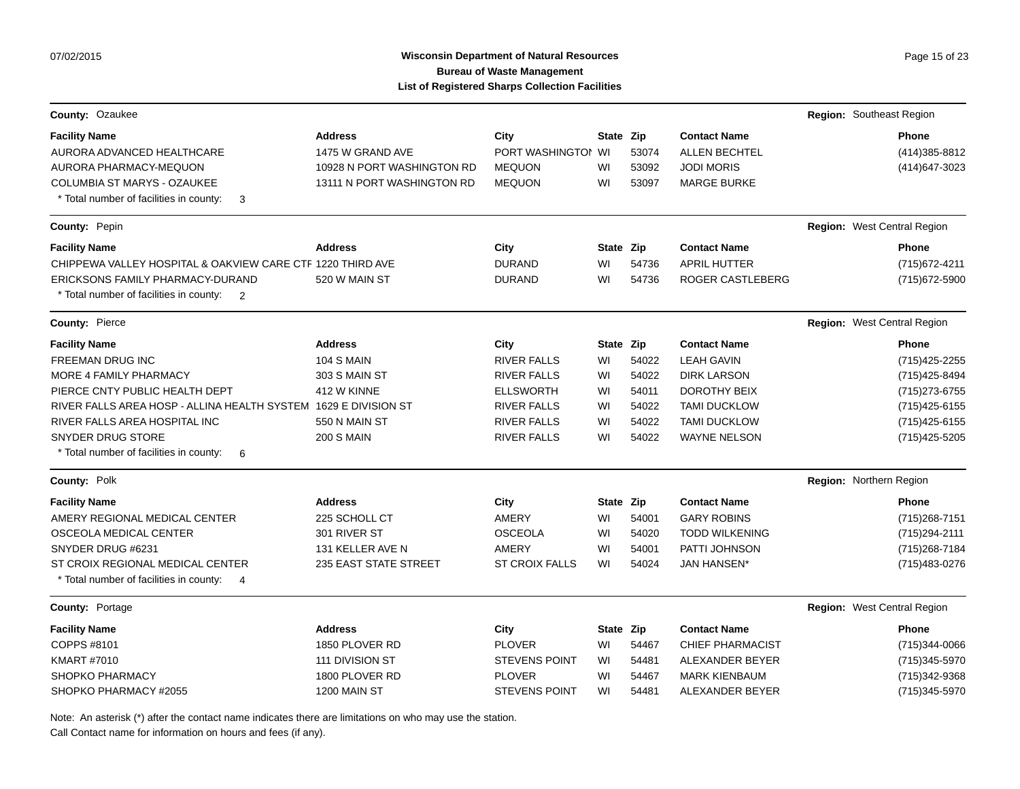### **Wisconsin Department of Natural Resources Page 15 of 23 Page 15 of 23 Bureau of Waste Management List of Registered Sharps Collection Facilities**

| County: Ozaukee                                                                   |                              |                       |           |       |                       | <b>Region: Southeast Region</b>    |
|-----------------------------------------------------------------------------------|------------------------------|-----------------------|-----------|-------|-----------------------|------------------------------------|
| <b>Facility Name</b>                                                              | <b>Address</b>               | City                  | State Zip |       | <b>Contact Name</b>   | Phone                              |
| AURORA ADVANCED HEALTHCARE                                                        | 1475 W GRAND AVE             | PORT WASHINGTOI WI    |           | 53074 | <b>ALLEN BECHTEL</b>  | (414) 385-8812                     |
| AURORA PHARMACY-MEQUON                                                            | 10928 N PORT WASHINGTON RD   | <b>MEQUON</b>         | WI        | 53092 | <b>JODI MORIS</b>     | (414) 647-3023                     |
| <b>COLUMBIA ST MARYS - OZAUKEE</b>                                                | 13111 N PORT WASHINGTON RD   | <b>MEQUON</b>         | WI        | 53097 | <b>MARGE BURKE</b>    |                                    |
| * Total number of facilities in county:<br>3                                      |                              |                       |           |       |                       |                                    |
| County: Pepin                                                                     |                              |                       |           |       |                       | Region: West Central Region        |
| <b>Facility Name</b>                                                              | <b>Address</b>               | City                  | State Zip |       | <b>Contact Name</b>   | Phone                              |
| CHIPPEWA VALLEY HOSPITAL & OAKVIEW CARE CTF 1220 THIRD AVE                        |                              | <b>DURAND</b>         | WI        | 54736 | <b>APRIL HUTTER</b>   | (715) 672-4211                     |
| ERICKSONS FAMILY PHARMACY-DURAND                                                  | 520 W MAIN ST                | <b>DURAND</b>         | WI        | 54736 | ROGER CASTLEBERG      | (715) 672-5900                     |
| * Total number of facilities in county:<br>2                                      |                              |                       |           |       |                       |                                    |
| County: Pierce                                                                    |                              |                       |           |       |                       | <b>Region: West Central Region</b> |
| <b>Facility Name</b>                                                              | <b>Address</b>               | City                  | State Zip |       | <b>Contact Name</b>   | Phone                              |
| <b>FREEMAN DRUG INC</b>                                                           | <b>104 S MAIN</b>            | <b>RIVER FALLS</b>    | WI        | 54022 | <b>LEAH GAVIN</b>     | (715) 425-2255                     |
| MORE 4 FAMILY PHARMACY                                                            | 303 S MAIN ST                | <b>RIVER FALLS</b>    | WI        | 54022 | <b>DIRK LARSON</b>    | (715) 425-8494                     |
| PIERCE CNTY PUBLIC HEALTH DEPT                                                    | 412 W KINNE                  | <b>ELLSWORTH</b>      | WI        | 54011 | <b>DOROTHY BEIX</b>   | (715) 273-6755                     |
| RIVER FALLS AREA HOSP - ALLINA HEALTH SYSTEM 1629 E DIVISION ST                   |                              | <b>RIVER FALLS</b>    | WI        | 54022 | <b>TAMI DUCKLOW</b>   | (715) 425-6155                     |
| RIVER FALLS AREA HOSPITAL INC                                                     | 550 N MAIN ST                | <b>RIVER FALLS</b>    | WI        | 54022 | <b>TAMI DUCKLOW</b>   | (715) 425-6155                     |
| <b>SNYDER DRUG STORE</b>                                                          | <b>200 S MAIN</b>            | <b>RIVER FALLS</b>    | WI        | 54022 | <b>WAYNE NELSON</b>   | (715) 425-5205                     |
| * Total number of facilities in county:<br>6                                      |                              |                       |           |       |                       |                                    |
| County: Polk                                                                      |                              |                       |           |       |                       | Region: Northern Region            |
| <b>Facility Name</b>                                                              | <b>Address</b>               | City                  | State Zip |       | <b>Contact Name</b>   | <b>Phone</b>                       |
| AMERY REGIONAL MEDICAL CENTER                                                     | 225 SCHOLL CT                | <b>AMERY</b>          | WI        | 54001 | <b>GARY ROBINS</b>    | (715) 268-7151                     |
| OSCEOLA MEDICAL CENTER                                                            | 301 RIVER ST                 | <b>OSCEOLA</b>        | WI        | 54020 | <b>TODD WILKENING</b> | (715) 294-2111                     |
| SNYDER DRUG #6231                                                                 | 131 KELLER AVE N             | AMERY                 | WI        | 54001 | PATTI JOHNSON         | (715) 268-7184                     |
| ST CROIX REGIONAL MEDICAL CENTER<br>* Total number of facilities in county:<br>-4 | <b>235 EAST STATE STREET</b> | <b>ST CROIX FALLS</b> | WI        | 54024 | <b>JAN HANSEN*</b>    | (715) 483-0276                     |

**County:** Portage **Region:** West Central Region: West Central Region: West Central Region: West Central Region:

| <b>Facility Name</b>  | <b>Address</b>  | City                 | State Zip |       | <b>Contact Name</b>     | <b>Phone</b>  |
|-----------------------|-----------------|----------------------|-----------|-------|-------------------------|---------------|
| COPPS #8101           | 1850 PLOVER RD  | <b>PLOVER</b>        | WI        | 54467 | <b>CHIEF PHARMACIST</b> | (715)344-0066 |
| KMART #7010           | 111 DIVISION ST | <b>STEVENS POINT</b> | WI        | 54481 | ALEXANDER BEYER         | (715)345-5970 |
| SHOPKO PHARMACY       | 1800 PLOVER RD  | <b>PLOVER</b>        | WI        | 54467 | MARK KIENBAUM           | (715)342-9368 |
| SHOPKO PHARMACY #2055 | 1200 MAIN ST    | <b>STEVENS POINT</b> | WI        | 54481 | ALEXANDER BEYER         | (715)345-5970 |

Note: An asterisk (\*) after the contact name indicates there are limitations on who may use the station.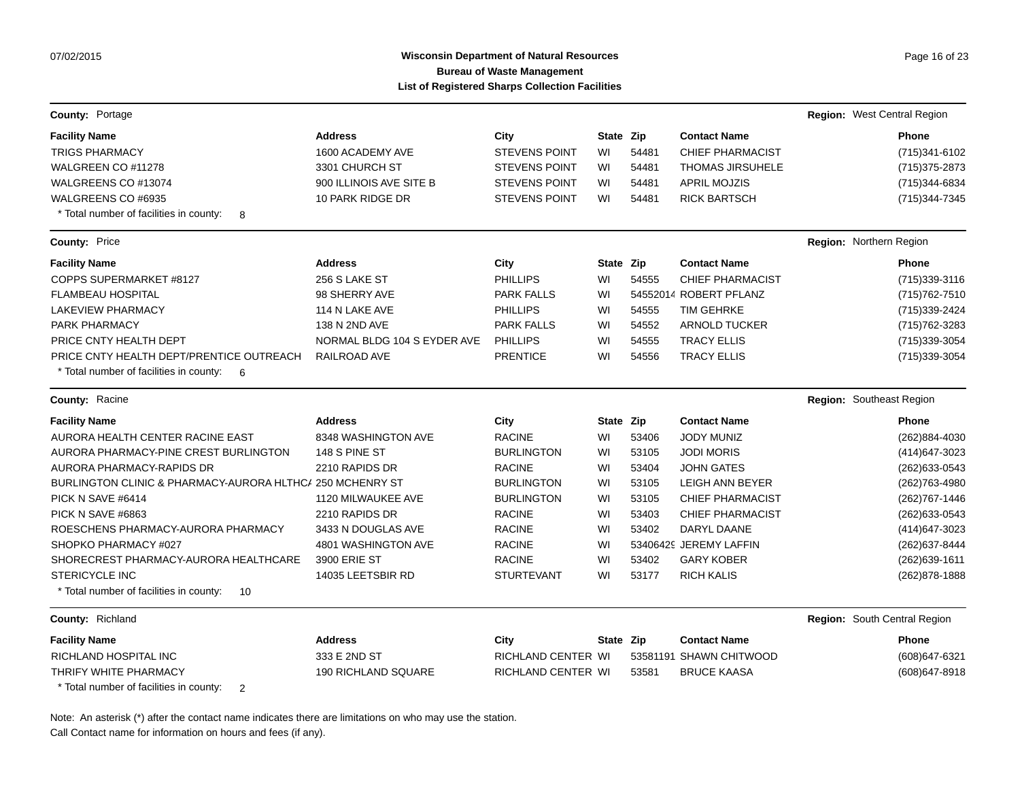# **Wisconsin Department of Natural Resources Page 16 of 23 Page 16 of 23 Bureau of Waste Management List of Registered Sharps Collection Facilities**

| <b>County: Portage</b>                                                                   |                             |                      |           |       |                         | Region: West Central Region  |
|------------------------------------------------------------------------------------------|-----------------------------|----------------------|-----------|-------|-------------------------|------------------------------|
| <b>Facility Name</b>                                                                     | <b>Address</b>              | City                 | State Zip |       | <b>Contact Name</b>     | Phone                        |
| <b>TRIGS PHARMACY</b>                                                                    | 1600 ACADEMY AVE            | <b>STEVENS POINT</b> | WI        | 54481 | <b>CHIEF PHARMACIST</b> | (715)341-6102                |
| WALGREEN CO #11278                                                                       | 3301 CHURCH ST              | <b>STEVENS POINT</b> | WI        | 54481 | <b>THOMAS JIRSUHELE</b> | (715) 375-2873               |
| WALGREENS CO #13074                                                                      | 900 ILLINOIS AVE SITE B     | <b>STEVENS POINT</b> | WI        | 54481 | <b>APRIL MOJZIS</b>     | (715) 344-6834               |
| WALGREENS CO #6935                                                                       | 10 PARK RIDGE DR            | <b>STEVENS POINT</b> | WI        | 54481 | <b>RICK BARTSCH</b>     | (715) 344-7345               |
| * Total number of facilities in county:<br>8                                             |                             |                      |           |       |                         |                              |
| <b>County: Price</b>                                                                     |                             |                      |           |       |                         | Region: Northern Region      |
| <b>Facility Name</b>                                                                     | <b>Address</b>              | City                 | State Zip |       | <b>Contact Name</b>     | Phone                        |
| COPPS SUPERMARKET #8127                                                                  | 256 S LAKE ST               | <b>PHILLIPS</b>      | WI        | 54555 | <b>CHIEF PHARMACIST</b> | (715)339-3116                |
| <b>FLAMBEAU HOSPITAL</b>                                                                 | 98 SHERRY AVE               | <b>PARK FALLS</b>    | WI        |       | 54552014 ROBERT PFLANZ  | (715) 762-7510               |
| LAKEVIEW PHARMACY                                                                        | 114 N LAKE AVE              | <b>PHILLIPS</b>      | WI        | 54555 | <b>TIM GEHRKE</b>       | (715)339-2424                |
| PARK PHARMACY                                                                            | 138 N 2ND AVE               | <b>PARK FALLS</b>    | WI        | 54552 | <b>ARNOLD TUCKER</b>    | (715) 762-3283               |
| PRICE CNTY HEALTH DEPT                                                                   | NORMAL BLDG 104 S EYDER AVE | <b>PHILLIPS</b>      | WI        | 54555 | <b>TRACY ELLIS</b>      | (715) 339-3054               |
| PRICE CNTY HEALTH DEPT/PRENTICE OUTREACH<br>* Total number of facilities in county:<br>6 | <b>RAILROAD AVE</b>         | <b>PRENTICE</b>      | WI        | 54556 | <b>TRACY ELLIS</b>      | (715) 339-3054               |
| <b>County: Racine</b>                                                                    |                             |                      |           |       |                         | Region: Southeast Region     |
| <b>Facility Name</b>                                                                     | <b>Address</b>              | City                 | State Zip |       | <b>Contact Name</b>     | Phone                        |
| AURORA HEALTH CENTER RACINE EAST                                                         | 8348 WASHINGTON AVE         | <b>RACINE</b>        | WI        | 53406 | <b>JODY MUNIZ</b>       | (262)884-4030                |
| AURORA PHARMACY-PINE CREST BURLINGTON                                                    | 148 S PINE ST               | <b>BURLINGTON</b>    | WI        | 53105 | <b>JODI MORIS</b>       | (414) 647-3023               |
| AURORA PHARMACY-RAPIDS DR                                                                | 2210 RAPIDS DR              | <b>RACINE</b>        | WI        | 53404 | <b>JOHN GATES</b>       | (262) 633-0543               |
| BURLINGTON CLINIC & PHARMACY-AURORA HLTHC/ 250 MCHENRY ST                                |                             | <b>BURLINGTON</b>    | WI        | 53105 | <b>LEIGH ANN BEYER</b>  | (262) 763-4980               |
| PICK N SAVE #6414                                                                        | 1120 MILWAUKEE AVE          | <b>BURLINGTON</b>    | WI        | 53105 | <b>CHIEF PHARMACIST</b> | (262) 767-1446               |
| PICK N SAVE #6863                                                                        | 2210 RAPIDS DR              | <b>RACINE</b>        | WI        | 53403 | <b>CHIEF PHARMACIST</b> | (262) 633-0543               |
| ROESCHENS PHARMACY-AURORA PHARMACY                                                       | 3433 N DOUGLAS AVE          | <b>RACINE</b>        | WI        | 53402 | DARYL DAANE             | (414) 647-3023               |
| SHOPKO PHARMACY #027                                                                     | 4801 WASHINGTON AVE         | <b>RACINE</b>        | WI        |       | 53406429 JEREMY LAFFIN  | (262) 637-8444               |
| SHORECREST PHARMACY-AURORA HEALTHCARE                                                    | 3900 ERIE ST                | <b>RACINE</b>        | WI        | 53402 | <b>GARY KOBER</b>       | (262) 639-1611               |
| <b>STERICYCLE INC</b>                                                                    | 14035 LEETSBIR RD           | <b>STURTEVANT</b>    | WI        | 53177 | <b>RICH KALIS</b>       | (262) 878-1888               |
| * Total number of facilities in county:<br>10                                            |                             |                      |           |       |                         |                              |
| County: Richland                                                                         |                             |                      |           |       |                         | Region: South Central Region |
| <b>Facility Name</b>                                                                     | <b>Address</b>              | City                 | State Zip |       | <b>Contact Name</b>     | Phone                        |
| RICHLAND HOSPITAL INC                                                                    | 333 E 2ND ST                | RICHLAND CENTER WI   |           |       | 53581191 SHAWN CHITWOOD | (608) 647-6321               |
| THRIFY WHITE PHARMACY                                                                    | <b>190 RICHLAND SQUARE</b>  | RICHLAND CENTER WI   |           | 53581 | <b>BRUCE KAASA</b>      | (608) 647-8918               |
| * Total number of facilities in county:<br>2                                             |                             |                      |           |       |                         |                              |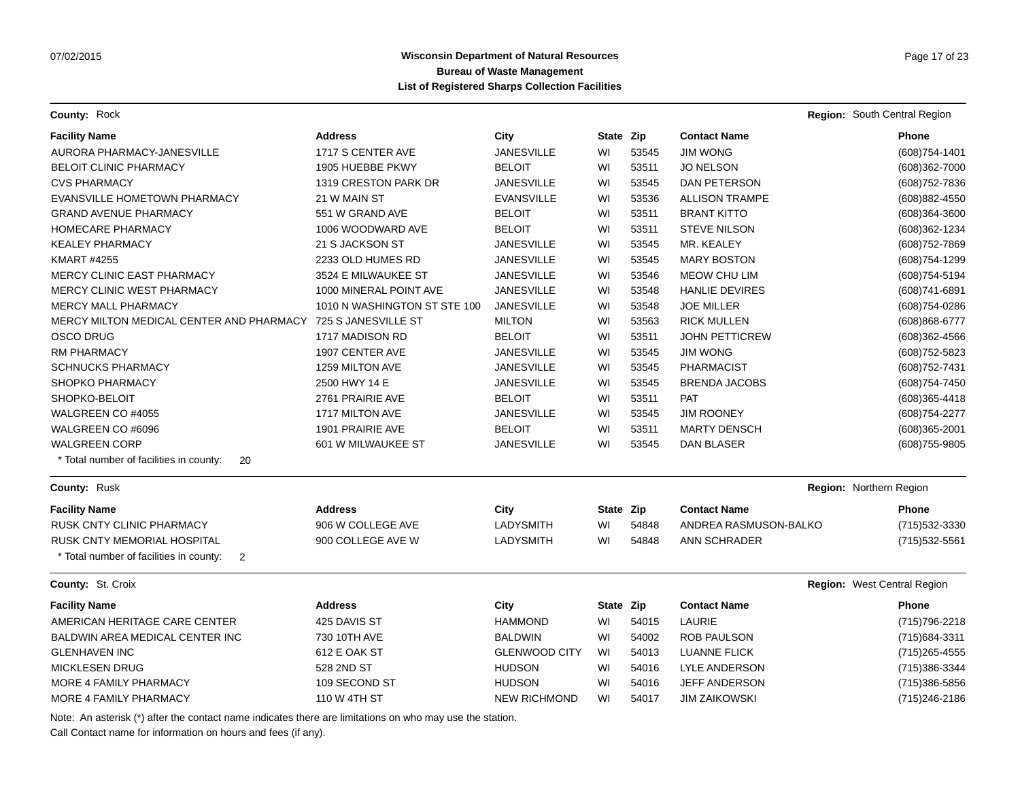**County:** Rock **Region:** South Central Region **Region:** South Central Region **Region:** South Central Region

| <b>Facility Name</b>                                         | <b>Address</b>               | City                 | State Zip |       | <b>Contact Name</b>     | Phone                       |
|--------------------------------------------------------------|------------------------------|----------------------|-----------|-------|-------------------------|-----------------------------|
| AURORA PHARMACY-JANESVILLE                                   | 1717 S CENTER AVE            | <b>JANESVILLE</b>    | WI        | 53545 | <b>JIM WONG</b>         | (608) 754-1401              |
| <b>BELOIT CLINIC PHARMACY</b>                                | 1905 HUEBBE PKWY             | <b>BELOIT</b>        | WI        | 53511 | <b>JO NELSON</b>        | (608)362-7000               |
| <b>CVS PHARMACY</b>                                          | 1319 CRESTON PARK DR         | <b>JANESVILLE</b>    | WI        | 53545 | DAN PETERSON            | (608) 752-7836              |
| EVANSVILLE HOMETOWN PHARMACY                                 | 21 W MAIN ST                 | <b>EVANSVILLE</b>    | WI        | 53536 | <b>ALLISON TRAMPE</b>   | (608) 882-4550              |
| <b>GRAND AVENUE PHARMACY</b>                                 | 551 W GRAND AVE              | <b>BELOIT</b>        | WI        | 53511 | <b>BRANT KITTO</b>      | (608)364-3600               |
| <b>HOMECARE PHARMACY</b>                                     | 1006 WOODWARD AVE            | <b>BELOIT</b>        | WI        | 53511 | <b>STEVE NILSON</b>     | (608)362-1234               |
| <b>KEALEY PHARMACY</b>                                       | 21 S JACKSON ST              | <b>JANESVILLE</b>    | WI        | 53545 | MR. KEALEY              | (608) 752-7869              |
| <b>KMART #4255</b>                                           | 2233 OLD HUMES RD            | <b>JANESVILLE</b>    | WI        | 53545 | <b>MARY BOSTON</b>      | (608) 754-1299              |
| MERCY CLINIC EAST PHARMACY                                   | 3524 E MILWAUKEE ST          | <b>JANESVILLE</b>    | WI        | 53546 | <b>MEOW CHU LIM</b>     | (608) 754-5194              |
| <b>MERCY CLINIC WEST PHARMACY</b>                            | 1000 MINERAL POINT AVE       | <b>JANESVILLE</b>    | WI        | 53548 | <b>HANLIE DEVIRES</b>   | (608) 741-6891              |
| <b>MERCY MALL PHARMACY</b>                                   | 1010 N WASHINGTON ST STE 100 | <b>JANESVILLE</b>    | WI        | 53548 | <b>JOE MILLER</b>       | (608) 754-0286              |
| MERCY MILTON MEDICAL CENTER AND PHARMACY 725 S JANESVILLE ST |                              | <b>MILTON</b>        | WI        | 53563 | <b>RICK MULLEN</b>      | (608) 868-6777              |
| <b>OSCO DRUG</b>                                             | 1717 MADISON RD              | <b>BELOIT</b>        | WI        | 53511 | <b>JOHN PETTICREW</b>   | (608)362-4566               |
| <b>RM PHARMACY</b>                                           | 1907 CENTER AVE              | <b>JANESVILLE</b>    | WI        | 53545 | <b>JIM WONG</b>         | (608) 752-5823              |
| <b>SCHNUCKS PHARMACY</b>                                     | 1259 MILTON AVE              | <b>JANESVILLE</b>    | WI        | 53545 | <b>PHARMACIST</b>       | (608) 752-7431              |
| <b>SHOPKO PHARMACY</b>                                       | 2500 HWY 14 E                | <b>JANESVILLE</b>    | WI        | 53545 | <b>BRENDA JACOBS</b>    | (608) 754-7450              |
| SHOPKO-BELOIT                                                | 2761 PRAIRIE AVE             | <b>BELOIT</b>        | WI        | 53511 | <b>PAT</b>              | $(608)365 - 4418$           |
| WALGREEN CO #4055                                            | 1717 MILTON AVE              | <b>JANESVILLE</b>    | WI        | 53545 | <b>JIM ROONEY</b>       | (608) 754-2277              |
| WALGREEN CO #6096                                            | 1901 PRAIRIE AVE             | <b>BELOIT</b>        | WI        | 53511 | <b>MARTY DENSCH</b>     | $(608)365 - 2001$           |
| <b>WALGREEN CORP</b>                                         | 601 W MILWAUKEE ST           | <b>JANESVILLE</b>    | WI        | 53545 | <b>DAN BLASER</b>       | (608) 755-9805              |
| * Total number of facilities in county:<br>20                |                              |                      |           |       |                         |                             |
| County: Rusk                                                 |                              |                      |           |       | Region: Northern Region |                             |
| <b>Facility Name</b>                                         | <b>Address</b>               | City                 | State Zip |       | <b>Contact Name</b>     | Phone                       |
| <b>RUSK CNTY CLINIC PHARMACY</b>                             | 906 W COLLEGE AVE            | <b>LADYSMITH</b>     | WI        | 54848 | ANDREA RASMUSON-BALKO   | (715) 532-3330              |
| <b>RUSK CNTY MEMORIAL HOSPITAL</b>                           | 900 COLLEGE AVE W            | <b>LADYSMITH</b>     | WI        | 54848 | ANN SCHRADER            | (715) 532-5561              |
| * Total number of facilities in county:<br>$\overline{2}$    |                              |                      |           |       |                         |                             |
| County: St. Croix                                            |                              |                      |           |       |                         | Region: West Central Region |
| <b>Facility Name</b>                                         | <b>Address</b>               | City                 | State Zip |       | <b>Contact Name</b>     | Phone                       |
| AMERICAN HERITAGE CARE CENTER                                | 425 DAVIS ST                 | <b>HAMMOND</b>       | WI        | 54015 | LAURIE                  | (715) 796-2218              |
| BALDWIN AREA MEDICAL CENTER INC                              | 730 10TH AVE                 | <b>BALDWIN</b>       | WI        | 54002 | <b>ROB PAULSON</b>      | (715) 684-3311              |
| <b>GLENHAVEN INC</b>                                         | 612 E OAK ST                 | <b>GLENWOOD CITY</b> | WI        | 54013 | <b>LUANNE FLICK</b>     | $(715)265 - 4555$           |
| <b>MICKLESEN DRUG</b>                                        | 528 2ND ST                   | <b>HUDSON</b>        | WI        | 54016 | LYLE ANDERSON           | (715) 386-3344              |
| MORE 4 FAMILY PHARMACY                                       | 109 SECOND ST                | <b>HUDSON</b>        | WI        | 54016 | <b>JEFF ANDERSON</b>    | (715)386-5856               |
| MORE 4 FAMILY PHARMACY                                       | 110 W 4TH ST                 | <b>NEW RICHMOND</b>  | WI        | 54017 | JIM ZAIKOWSKI           | (715) 246-2186              |

Note: An asterisk (\*) after the contact name indicates there are limitations on who may use the station.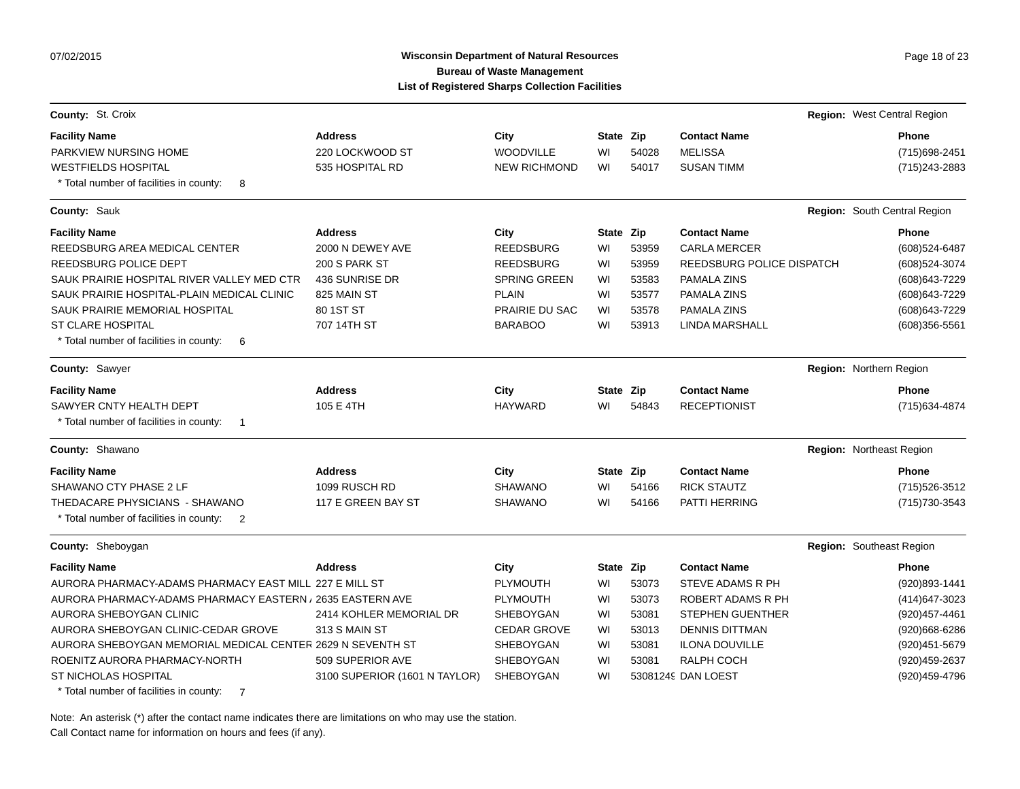07/02/2015

# Wisconsin Department of Natural Resources **Page 18 of 23** Page 18 of 23 **Bureau of Waste Management List of Registered Sharps Collection Facilities**

| County: St. Croix                                                                                |                               |                       |           |       |                           | Region: West Central Region  |
|--------------------------------------------------------------------------------------------------|-------------------------------|-----------------------|-----------|-------|---------------------------|------------------------------|
| <b>Facility Name</b>                                                                             | <b>Address</b>                | City                  | State Zip |       | <b>Contact Name</b>       | Phone                        |
| PARKVIEW NURSING HOME                                                                            | 220 LOCKWOOD ST               | WOODVILLE             | WI        | 54028 | <b>MELISSA</b>            | (715) 698-2451               |
| <b>WESTFIELDS HOSPITAL</b><br>* Total number of facilities in county:<br>8                       | 535 HOSPITAL RD               | <b>NEW RICHMOND</b>   | WI        | 54017 | <b>SUSAN TIMM</b>         | (715) 243-2883               |
| County: Sauk                                                                                     |                               |                       |           |       |                           | Region: South Central Region |
| <b>Facility Name</b>                                                                             | <b>Address</b>                | City                  | State Zip |       | <b>Contact Name</b>       | <b>Phone</b>                 |
| REEDSBURG AREA MEDICAL CENTER                                                                    | 2000 N DEWEY AVE              | <b>REEDSBURG</b>      | WI        | 53959 | <b>CARLA MERCER</b>       | (608) 524-6487               |
| REEDSBURG POLICE DEPT                                                                            | 200 S PARK ST                 | <b>REEDSBURG</b>      | WI        | 53959 | REEDSBURG POLICE DISPATCH | (608) 524-3074               |
| SAUK PRAIRIE HOSPITAL RIVER VALLEY MED CTR                                                       | 436 SUNRISE DR                | <b>SPRING GREEN</b>   | WI        | 53583 | PAMALA ZINS               | (608) 643-7229               |
| SAUK PRAIRIE HOSPITAL-PLAIN MEDICAL CLINIC                                                       | 825 MAIN ST                   | <b>PLAIN</b>          | WI        | 53577 | PAMALA ZINS               | (608) 643-7229               |
| SAUK PRAIRIE MEMORIAL HOSPITAL                                                                   | 80 1ST ST                     | <b>PRAIRIE DU SAC</b> | WI        | 53578 | PAMALA ZINS               | (608) 643-7229               |
| <b>ST CLARE HOSPITAL</b><br>* Total number of facilities in county:<br>6                         | 707 14TH ST                   | <b>BARABOO</b>        | WI        | 53913 | LINDA MARSHALL            | (608)356-5561                |
| <b>County: Sawyer</b>                                                                            |                               |                       |           |       |                           | Region: Northern Region      |
| <b>Facility Name</b>                                                                             | <b>Address</b>                | City                  | State Zip |       | <b>Contact Name</b>       | Phone                        |
| SAWYER CNTY HEALTH DEPT<br>* Total number of facilities in county:<br>$\overline{\phantom{0}}$ 1 | 105 E 4TH                     | <b>HAYWARD</b>        | WI        | 54843 | <b>RECEPTIONIST</b>       | (715) 634-4874               |
| County: Shawano                                                                                  |                               |                       |           |       |                           | Region: Northeast Region     |
| <b>Facility Name</b>                                                                             | <b>Address</b>                | City                  | State Zip |       | <b>Contact Name</b>       | <b>Phone</b>                 |
| SHAWANO CTY PHASE 2 LF                                                                           | 1099 RUSCH RD                 | <b>SHAWANO</b>        | WI        | 54166 | <b>RICK STAUTZ</b>        | (715) 526-3512               |
| THEDACARE PHYSICIANS - SHAWANO<br>* Total number of facilities in county:<br>$\overline{2}$      | 117 E GREEN BAY ST            | <b>SHAWANO</b>        | WI        | 54166 | PATTI HERRING             | (715) 730-3543               |
| County: Sheboygan                                                                                |                               |                       |           |       |                           | Region: Southeast Region     |
| <b>Facility Name</b>                                                                             | <b>Address</b>                | City                  | State Zip |       | <b>Contact Name</b>       | Phone                        |
| AURORA PHARMACY-ADAMS PHARMACY EAST MILL 227 E MILL ST                                           |                               | <b>PLYMOUTH</b>       | WI        | 53073 | STEVE ADAMS R PH          | (920)893-1441                |
| AURORA PHARMACY-ADAMS PHARMACY EASTERN / 2635 EASTERN AVE                                        |                               | <b>PLYMOUTH</b>       | WI        | 53073 | ROBERT ADAMS R PH         | (414) 647-3023               |
| AURORA SHEBOYGAN CLINIC                                                                          | 2414 KOHLER MEMORIAL DR       | <b>SHEBOYGAN</b>      | WI        | 53081 | <b>STEPHEN GUENTHER</b>   | (920) 457-4461               |
| AURORA SHEBOYGAN CLINIC-CEDAR GROVE                                                              | 313 S MAIN ST                 | <b>CEDAR GROVE</b>    | WI        | 53013 | <b>DENNIS DITTMAN</b>     | (920)668-6286                |
| AURORA SHEBOYGAN MEMORIAL MEDICAL CENTER 2629 N SEVENTH ST                                       |                               | SHEBOYGAN             | WI        | 53081 | <b>ILONA DOUVILLE</b>     | (920) 451-5679               |
| ROENITZ AURORA PHARMACY-NORTH                                                                    | 509 SUPERIOR AVE              | SHEBOYGAN             | WI        | 53081 | RALPH COCH                | (920) 459-2637               |
| ST NICHOLAS HOSPITAL                                                                             | 3100 SUPERIOR (1601 N TAYLOR) | SHEBOYGAN             | WI        |       | 53081249 DAN LOEST        | (920)459-4796                |
| 利用しょうし しょうしょし しゅうえきょうせいしょうかい                                                                     |                               |                       |           |       |                           |                              |

Total number of facilities in county: 7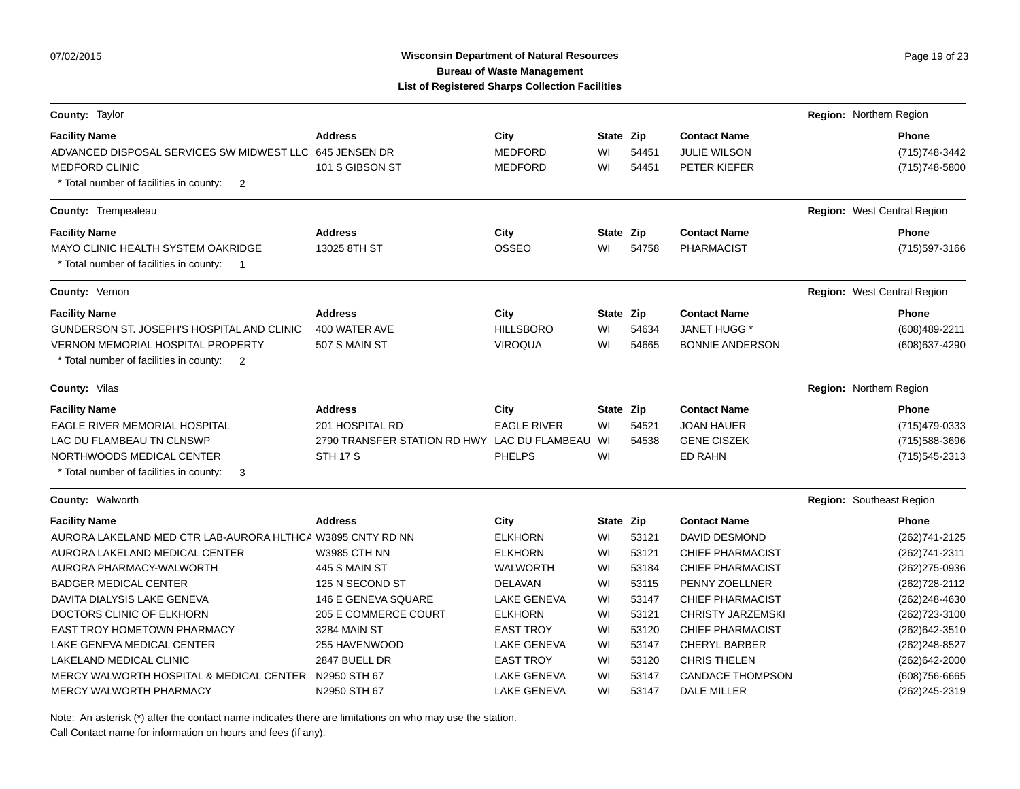# Wisconsin Department of Natural Resources **Page 19 of 23** Page 19 of 23 **Bureau of Waste Management List of Registered Sharps Collection Facilities**

| County: Taylor                                                      |                                              |                    |           |       |                          | Region: Northern Region     |
|---------------------------------------------------------------------|----------------------------------------------|--------------------|-----------|-------|--------------------------|-----------------------------|
| <b>Facility Name</b>                                                | <b>Address</b>                               | City               | State Zip |       | <b>Contact Name</b>      | <b>Phone</b>                |
| ADVANCED DISPOSAL SERVICES SW MIDWEST LLC 645 JENSEN DR             |                                              | <b>MEDFORD</b>     | WI        | 54451 | <b>JULIE WILSON</b>      | (715) 748-3442              |
| <b>MEDFORD CLINIC</b>                                               | 101 S GIBSON ST                              | <b>MEDFORD</b>     | WI        | 54451 | PETER KIEFER             | (715) 748-5800              |
| * Total number of facilities in county:<br>$\overline{2}$           |                                              |                    |           |       |                          |                             |
| County: Trempealeau                                                 |                                              |                    |           |       |                          | Region: West Central Region |
| <b>Facility Name</b>                                                | <b>Address</b>                               | City               | State Zip |       | <b>Contact Name</b>      | <b>Phone</b>                |
| MAYO CLINIC HEALTH SYSTEM OAKRIDGE                                  | 13025 8TH ST                                 | <b>OSSEO</b>       | WI        | 54758 | <b>PHARMACIST</b>        | (715) 597-3166              |
| * Total number of facilities in county:<br>$\overline{\phantom{1}}$ |                                              |                    |           |       |                          |                             |
| County: Vernon                                                      |                                              |                    |           |       |                          | Region: West Central Region |
| <b>Facility Name</b>                                                | <b>Address</b>                               | City               | State Zip |       | <b>Contact Name</b>      | Phone                       |
| GUNDERSON ST. JOSEPH'S HOSPITAL AND CLINIC                          | 400 WATER AVE                                | <b>HILLSBORO</b>   | WI        | 54634 | JANET HUGG *             | (608)489-2211               |
| <b>VERNON MEMORIAL HOSPITAL PROPERTY</b>                            | 507 S MAIN ST                                | <b>VIROQUA</b>     | WI        | 54665 | <b>BONNIE ANDERSON</b>   | (608) 637-4290              |
| * Total number of facilities in county:<br>$\overline{2}$           |                                              |                    |           |       |                          |                             |
| <b>County: Vilas</b>                                                |                                              |                    |           |       |                          | Region: Northern Region     |
| <b>Facility Name</b>                                                | <b>Address</b>                               | City               | State Zip |       | <b>Contact Name</b>      | <b>Phone</b>                |
| EAGLE RIVER MEMORIAL HOSPITAL                                       | 201 HOSPITAL RD                              | <b>EAGLE RIVER</b> | WI        | 54521 | <b>JOAN HAUER</b>        | (715) 479-0333              |
| LAC DU FLAMBEAU TN CLNSWP                                           | 2790 TRANSFER STATION RD HWY LAC DU FLAMBEAU |                    | WI        | 54538 | <b>GENE CISZEK</b>       | (715) 588-3696              |
| NORTHWOODS MEDICAL CENTER                                           | <b>STH 17 S</b>                              | <b>PHELPS</b>      | WI        |       | <b>ED RAHN</b>           | (715) 545-2313              |
| * Total number of facilities in county:<br>3                        |                                              |                    |           |       |                          |                             |
| <b>County: Walworth</b>                                             |                                              |                    |           |       |                          | Region: Southeast Region    |
| <b>Facility Name</b>                                                | <b>Address</b>                               | City               | State Zip |       | <b>Contact Name</b>      | <b>Phone</b>                |
| AURORA LAKELAND MED CTR LAB-AURORA HLTHCA W3895 CNTY RD NN          |                                              | <b>ELKHORN</b>     | WI        | 53121 | <b>DAVID DESMOND</b>     | (262) 741-2125              |
| AURORA LAKELAND MEDICAL CENTER                                      | <b>W3985 CTH NN</b>                          | <b>ELKHORN</b>     | WI        | 53121 | <b>CHIEF PHARMACIST</b>  | (262) 741-2311              |
| AURORA PHARMACY-WALWORTH                                            | 445 S MAIN ST                                | <b>WALWORTH</b>    | WI        | 53184 | <b>CHIEF PHARMACIST</b>  | (262) 275-0936              |
| <b>BADGER MEDICAL CENTER</b>                                        | 125 N SECOND ST                              | <b>DELAVAN</b>     | WI        | 53115 | PENNY ZOELLNER           | (262) 728-2112              |
| DAVITA DIALYSIS LAKE GENEVA                                         | 146 E GENEVA SQUARE                          | <b>LAKE GENEVA</b> | WI        | 53147 | <b>CHIEF PHARMACIST</b>  | (262) 248-4630              |
| DOCTORS CLINIC OF ELKHORN                                           | 205 E COMMERCE COURT                         | <b>ELKHORN</b>     | WI        | 53121 | <b>CHRISTY JARZEMSKI</b> | (262) 723-3100              |
| <b>EAST TROY HOMETOWN PHARMACY</b>                                  | 3284 MAIN ST                                 | <b>EAST TROY</b>   | WI        | 53120 | <b>CHIEF PHARMACIST</b>  | (262) 642-3510              |
| LAKE GENEVA MEDICAL CENTER                                          | 255 HAVENWOOD                                | <b>LAKE GENEVA</b> | WI        | 53147 | <b>CHERYL BARBER</b>     | (262) 248-8527              |
| LAKELAND MEDICAL CLINIC                                             | 2847 BUELL DR                                | <b>EAST TROY</b>   | WI        | 53120 | <b>CHRIS THELEN</b>      | (262)642-2000               |
| MERCY WALWORTH HOSPITAL & MEDICAL CENTER                            | N2950 STH 67                                 | LAKE GENEVA        | WI        | 53147 | <b>CANDACE THOMPSON</b>  | $(608)756 - 6665$           |
| <b>MERCY WALWORTH PHARMACY</b>                                      | N2950 STH 67                                 | <b>LAKE GENEVA</b> | WI        | 53147 | <b>DALE MILLER</b>       | (262) 245-2319              |

Note: An asterisk (\*) after the contact name indicates there are limitations on who may use the station.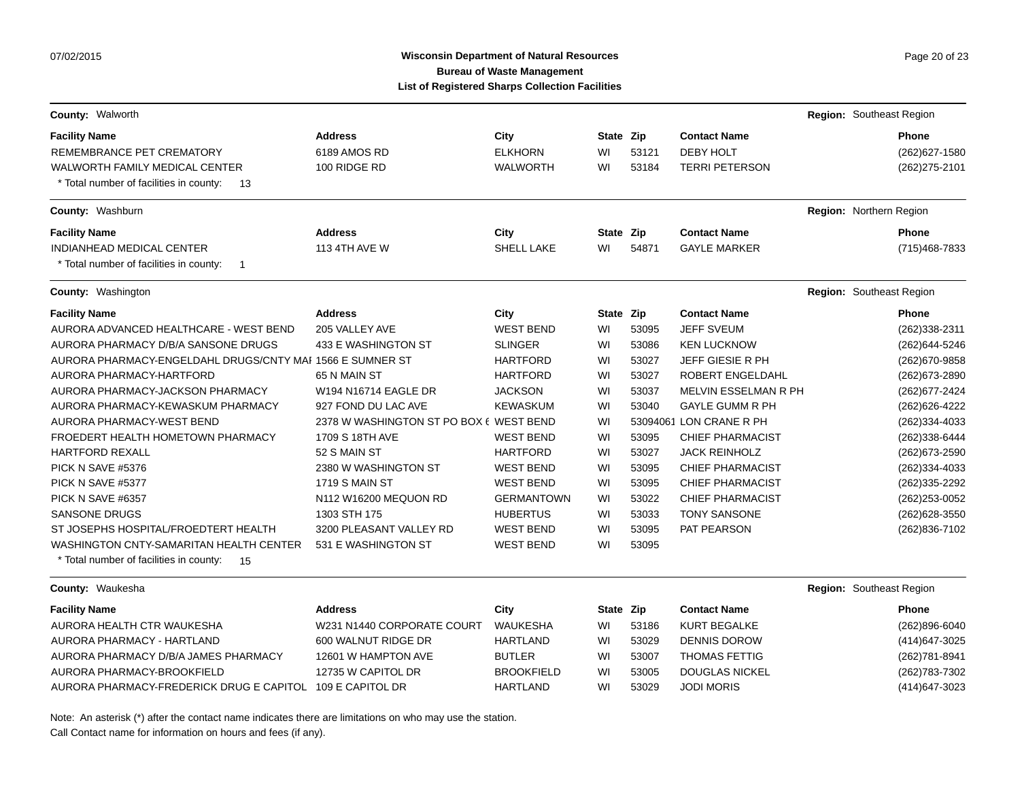# Wisconsin Department of Natural Resources **Page 20 of 23** Page 20 of 23 **Bureau of Waste Management List of Registered Sharps Collection Facilities**

| County: Walworth                                                                              |                                         |                   |           |       |                         | Region: Southeast Region |
|-----------------------------------------------------------------------------------------------|-----------------------------------------|-------------------|-----------|-------|-------------------------|--------------------------|
| <b>Facility Name</b>                                                                          | <b>Address</b>                          | City              | State Zip |       | <b>Contact Name</b>     | <b>Phone</b>             |
| REMEMBRANCE PET CREMATORY                                                                     | 6189 AMOS RD                            | <b>ELKHORN</b>    | WI        | 53121 | <b>DEBY HOLT</b>        | (262) 627-1580           |
| <b>WALWORTH FAMILY MEDICAL CENTER</b><br>* Total number of facilities in county:<br>13        | 100 RIDGE RD                            | <b>WALWORTH</b>   | WI        | 53184 | <b>TERRI PETERSON</b>   | (262) 275-2101           |
| County: Washburn                                                                              |                                         |                   |           |       |                         | Region: Northern Region  |
|                                                                                               |                                         |                   |           |       |                         |                          |
| <b>Facility Name</b>                                                                          | <b>Address</b>                          | City              | State Zip |       | <b>Contact Name</b>     | <b>Phone</b>             |
| <b>INDIANHEAD MEDICAL CENTER</b><br>* Total number of facilities in county:<br>$\overline{1}$ | <b>113 4TH AVE W</b>                    | <b>SHELL LAKE</b> | WI        | 54871 | <b>GAYLE MARKER</b>     | (715) 468-7833           |
| County: Washington                                                                            |                                         |                   |           |       |                         | Region: Southeast Region |
| <b>Facility Name</b>                                                                          | <b>Address</b>                          | City              | State Zip |       | <b>Contact Name</b>     | <b>Phone</b>             |
| AURORA ADVANCED HEALTHCARE - WEST BEND                                                        | 205 VALLEY AVE                          | <b>WEST BEND</b>  | WI        | 53095 | <b>JEFF SVEUM</b>       | (262)338-2311            |
| AURORA PHARMACY D/B/A SANSONE DRUGS                                                           | 433 E WASHINGTON ST                     | <b>SLINGER</b>    | WI        | 53086 | <b>KEN LUCKNOW</b>      | (262) 644-5246           |
| AURORA PHARMACY-ENGELDAHL DRUGS/CNTY MAI 1566 E SUMNER ST                                     |                                         | <b>HARTFORD</b>   | WI        | 53027 | <b>JEFF GIESIE R PH</b> | (262) 670-9858           |
| AURORA PHARMACY-HARTFORD                                                                      | 65 N MAIN ST                            | <b>HARTFORD</b>   | WI        | 53027 | ROBERT ENGELDAHL        | (262) 673-2890           |
| AURORA PHARMACY-JACKSON PHARMACY                                                              | W194 N16714 EAGLE DR                    | <b>JACKSON</b>    | WI        | 53037 | MELVIN ESSELMAN R PH    | (262) 677-2424           |
| AURORA PHARMACY-KEWASKUM PHARMACY                                                             | 927 FOND DU LAC AVE                     | <b>KEWASKUM</b>   | WI        | 53040 | <b>GAYLE GUMM R PH</b>  | (262) 626-4222           |
| <b>AURORA PHARMACY-WEST BEND</b>                                                              | 2378 W WASHINGTON ST PO BOX 6 WEST BEND |                   | WI        |       | 53094061 LON CRANE R PH | (262)334-4033            |
| FROEDERT HEALTH HOMETOWN PHARMACY                                                             | 1709 S 18TH AVE                         | <b>WEST BEND</b>  | WI        | 53095 | <b>CHIEF PHARMACIST</b> | (262)338-6444            |
| <b>HARTFORD REXALL</b>                                                                        | 52 S MAIN ST                            | <b>HARTFORD</b>   | WI        | 53027 | <b>JACK REINHOLZ</b>    | (262) 673-2590           |
| PICK N SAVE #5376                                                                             | 2380 W WASHINGTON ST                    | <b>WEST BEND</b>  | WI        | 53095 | <b>CHIEF PHARMACIST</b> | (262)334-4033            |
| PICK N SAVE #5377                                                                             | <b>1719 S MAIN ST</b>                   | <b>WEST BEND</b>  | WI        | 53095 | <b>CHIEF PHARMACIST</b> | (262)335-2292            |
| PICK N SAVE #6357                                                                             | N112 W16200 MEQUON RD                   | <b>GERMANTOWN</b> | WI        | 53022 | <b>CHIEF PHARMACIST</b> | (262) 253-0052           |
| <b>SANSONE DRUGS</b>                                                                          | 1303 STH 175                            | <b>HUBERTUS</b>   | WI        | 53033 | <b>TONY SANSONE</b>     | (262) 628-3550           |
| ST JOSEPHS HOSPITAL/FROEDTERT HEALTH                                                          | 3200 PLEASANT VALLEY RD                 | <b>WEST BEND</b>  | WI        | 53095 | PAT PEARSON             | (262) 836-7102           |
| WASHINGTON CNTY-SAMARITAN HEALTH CENTER                                                       | 531 E WASHINGTON ST                     | <b>WEST BEND</b>  | WI        | 53095 |                         |                          |
| * Total number of facilities in county:<br>- 15                                               |                                         |                   |           |       |                         |                          |
| County: Waukesha                                                                              |                                         |                   |           |       |                         | Region: Southeast Region |
| <b>Facility Name</b>                                                                          | <b>Address</b>                          | City              | State Zip |       | <b>Contact Name</b>     | <b>Phone</b>             |
| AURORA HEALTH CTR WAUKESHA                                                                    | W231 N1440 CORPORATE COURT              | <b>WAUKESHA</b>   | WI        | 53186 | <b>KURT BEGALKE</b>     | $(262)896 - 6040$        |
| AURORA PHARMACY - HARTLAND                                                                    | 600 WALNUT RIDGE DR                     | <b>HARTLAND</b>   | WI        | 53029 | <b>DENNIS DOROW</b>     | (414) 647-3025           |
| AURORA PHARMACY D/B/A JAMES PHARMACY                                                          | 12601 W HAMPTON AVE                     | <b>BUTLER</b>     | WI        | 53007 | <b>THOMAS FETTIG</b>    | (262) 781-8941           |
| AURORA PHARMACY-BROOKFIELD                                                                    | 12735 W CAPITOL DR                      | <b>BROOKFIELD</b> | WI        | 53005 | <b>DOUGLAS NICKEL</b>   | (262) 783-7302           |
| AURORA PHARMACY-FREDERICK DRUG E CAPITOL 109 E CAPITOL DR                                     |                                         | <b>HARTLAND</b>   | WI        | 53029 | <b>JODI MORIS</b>       | (414) 647-3023           |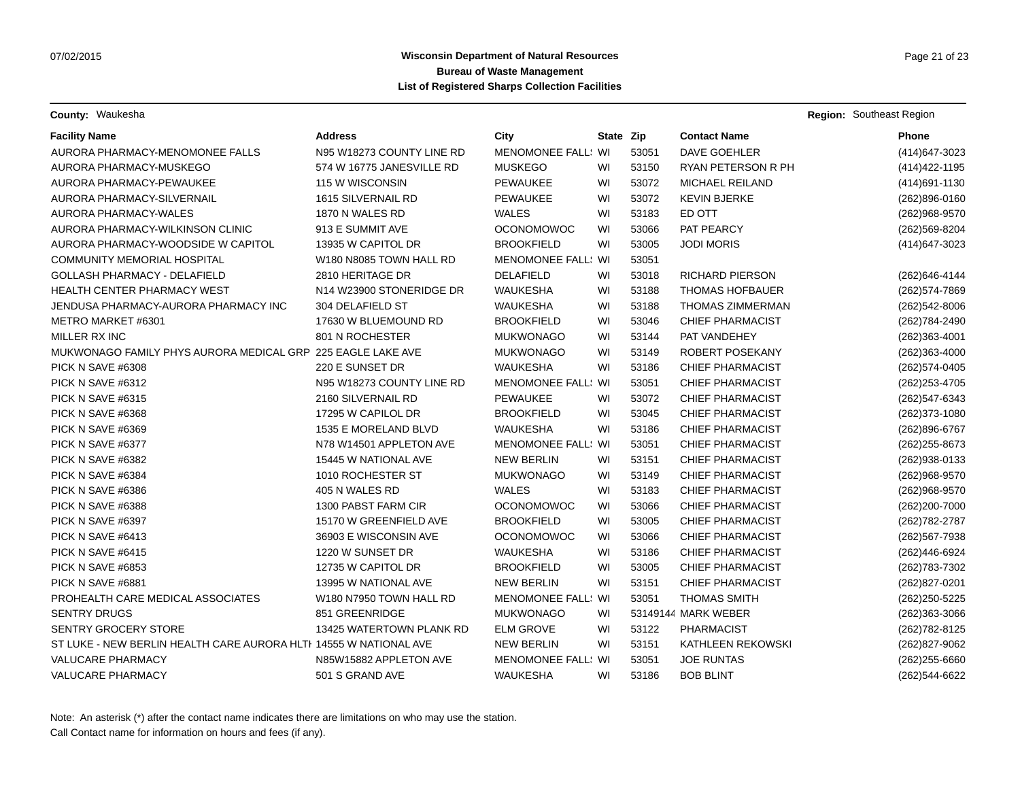**County:** Waukesha **Region:** Southeast Region

| <b>Facility Name</b>                                              | Address                                         | City                      | State Zip |       | <b>Contact Name</b>     | <b>Phone</b>      |
|-------------------------------------------------------------------|-------------------------------------------------|---------------------------|-----------|-------|-------------------------|-------------------|
| AURORA PHARMACY-MENOMONEE FALLS                                   | N95 W18273 COUNTY LINE RD                       | MENOMONEE FALL: WI        |           | 53051 | DAVE GOEHLER            | (414) 647-3023    |
| AURORA PHARMACY-MUSKEGO                                           | 574 W 16775 JANESVILLE RD                       | <b>MUSKEGO</b>            | WI        | 53150 | RYAN PETERSON R PH      | (414) 422-1195    |
| AURORA PHARMACY-PEWAUKEE                                          | 115 W WISCONSIN                                 | <b>PEWAUKEE</b>           | WI        | 53072 | MICHAEL REILAND         | (414) 691-1130    |
| AURORA PHARMACY-SILVERNAIL                                        | 1615 SILVERNAIL RD                              | PEWAUKEE                  | WI        | 53072 | <b>KEVIN BJERKE</b>     | (262)896-0160     |
| AURORA PHARMACY-WALES                                             | 1870 N WALES RD                                 | <b>WALES</b>              | WI        | 53183 | ED OTT                  | (262)968-9570     |
| AURORA PHARMACY-WILKINSON CLINIC                                  | 913 E SUMMIT AVE                                | <b>OCONOMOWOC</b>         | WI        | 53066 | PAT PEARCY              | (262) 569-8204    |
| AURORA PHARMACY-WOODSIDE W CAPITOL                                | 13935 W CAPITOL DR                              | <b>BROOKFIELD</b>         | WI        | 53005 | <b>JODI MORIS</b>       | (414) 647-3023    |
| <b>COMMUNITY MEMORIAL HOSPITAL</b>                                | W180 N8085 TOWN HALL RD                         | <b>MENOMONEE FALL: WI</b> |           | 53051 |                         |                   |
| GOLLASH PHARMACY - DELAFIELD                                      | 2810 HERITAGE DR                                | DELAFIELD                 | WI        | 53018 | <b>RICHARD PIERSON</b>  | (262) 646-4144    |
| <b>HEALTH CENTER PHARMACY WEST</b>                                | N14 W23900 STONERIDGE DR                        | <b>WAUKESHA</b>           | WI        | 53188 | <b>THOMAS HOFBAUER</b>  | (262) 574-7869    |
| JENDUSA PHARMACY-AURORA PHARMACY INC                              | 304 DELAFIELD ST                                | <b>WAUKESHA</b>           | WI        | 53188 | <b>THOMAS ZIMMERMAN</b> | (262)542-8006     |
| METRO MARKET #6301                                                | 17630 W BLUEMOUND RD                            | <b>BROOKFIELD</b>         | WI        | 53046 | <b>CHIEF PHARMACIST</b> | (262) 784-2490    |
| MILLER RX INC                                                     | 801 N ROCHESTER                                 | <b>MUKWONAGO</b>          | WI        | 53144 | PAT VANDEHEY            | (262)363-4001     |
| MUKWONAGO FAMILY PHYS AURORA MEDICAL GRP 225 EAGLE LAKE AVE       |                                                 | <b>MUKWONAGO</b>          | WI        | 53149 | ROBERT POSEKANY         | (262)363-4000     |
| PICK N SAVE #6308                                                 | 220 E SUNSET DR                                 | WAUKESHA                  | WI        | 53186 | <b>CHIEF PHARMACIST</b> | (262) 574-0405    |
| PICK N SAVE #6312                                                 | N95 W18273 COUNTY LINE RD                       | <b>MENOMONEE FALL: WI</b> |           | 53051 | <b>CHIEF PHARMACIST</b> | (262) 253-4705    |
| PICK N SAVE #6315                                                 | 2160 SILVERNAIL RD                              | <b>PEWAUKEE</b>           | WI        | 53072 | <b>CHIEF PHARMACIST</b> | (262)547-6343     |
| PICK N SAVE #6368                                                 | 17295 W CAPILOL DR                              | <b>BROOKFIELD</b>         | WI        | 53045 | <b>CHIEF PHARMACIST</b> | (262) 373-1080    |
| PICK N SAVE #6369                                                 | 1535 E MORELAND BLVD                            | <b>WAUKESHA</b>           | WI        | 53186 | <b>CHIEF PHARMACIST</b> | (262)896-6767     |
| PICK N SAVE #6377                                                 | N78 W14501 APPLETON AVE                         | MENOMONEE FALL: WI        |           | 53051 | <b>CHIEF PHARMACIST</b> | (262) 255-8673    |
| PICK N SAVE #6382                                                 | 15445 W NATIONAL AVE                            | <b>NEW BERLIN</b>         | WI        | 53151 | <b>CHIEF PHARMACIST</b> | (262) 938-0133    |
| PICK N SAVE #6384                                                 | 1010 ROCHESTER ST                               | <b>MUKWONAGO</b>          | WI        | 53149 | <b>CHIEF PHARMACIST</b> | (262)968-9570     |
| PICK N SAVE #6386                                                 | 405 N WALES RD                                  | <b>WALES</b>              | WI        | 53183 | <b>CHIEF PHARMACIST</b> | (262) 968-9570    |
| PICK N SAVE #6388                                                 | 1300 PABST FARM CIR                             | <b>OCONOMOWOC</b>         | WI        | 53066 | <b>CHIEF PHARMACIST</b> | (262) 200-7000    |
| PICK N SAVE #6397                                                 | 15170 W GREENFIELD AVE                          | <b>BROOKFIELD</b>         | WI        | 53005 | <b>CHIEF PHARMACIST</b> | (262) 782-2787    |
| PICK N SAVE #6413                                                 | 36903 E WISCONSIN AVE                           | <b>OCONOMOWOC</b>         | WI        | 53066 | <b>CHIEF PHARMACIST</b> | (262) 567-7938    |
| PICK N SAVE #6415                                                 | 1220 W SUNSET DR                                | WAUKESHA                  | WI        | 53186 | <b>CHIEF PHARMACIST</b> | (262)446-6924     |
| PICK N SAVE #6853                                                 | 12735 W CAPITOL DR                              | <b>BROOKFIELD</b>         | WI        | 53005 | <b>CHIEF PHARMACIST</b> | (262) 783-7302    |
| PICK N SAVE #6881                                                 | 13995 W NATIONAL AVE                            | <b>NEW BERLIN</b>         | WI        | 53151 | <b>CHIEF PHARMACIST</b> | (262)827-0201     |
| PROHEALTH CARE MEDICAL ASSOCIATES                                 | W <sub>180</sub> N <sub>7950</sub> TOWN HALL RD | <b>MENOMONEE FALL: WI</b> |           | 53051 | <b>THOMAS SMITH</b>     | (262) 250-5225    |
| <b>SENTRY DRUGS</b>                                               | 851 GREENRIDGE                                  | <b>MUKWONAGO</b>          | WI        |       | 53149144 MARK WEBER     | (262)363-3066     |
| <b>SENTRY GROCERY STORE</b>                                       | 13425 WATERTOWN PLANK RD                        | <b>ELM GROVE</b>          | WI        | 53122 | <b>PHARMACIST</b>       | (262) 782-8125    |
| ST LUKE - NEW BERLIN HEALTH CARE AURORA HLTI 14555 W NATIONAL AVE |                                                 | <b>NEW BERLIN</b>         | WI        | 53151 | KATHLEEN REKOWSKI       | (262)827-9062     |
| <b>VALUCARE PHARMACY</b>                                          | N85W15882 APPLETON AVE                          | MENOMONEE FALL: WI        |           | 53051 | <b>JOE RUNTAS</b>       | $(262)255 - 6660$ |
| <b>VALUCARE PHARMACY</b>                                          | 501 S GRAND AVE                                 | <b>WAUKESHA</b>           | WI        | 53186 | <b>BOB BLINT</b>        | (262)544-6622     |
|                                                                   |                                                 |                           |           |       |                         |                   |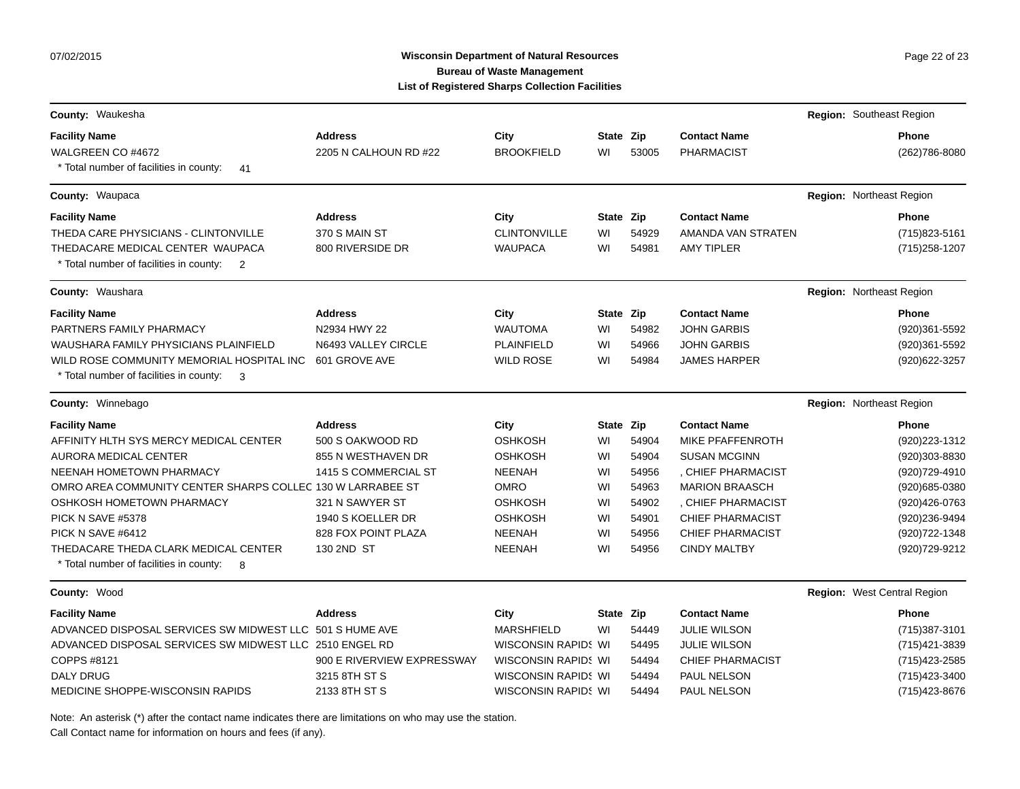07/02/2015

### Wisconsin Department of Natural Resources **Page 22 of 23** Page 22 of 23 **Bureau of Waste Management List of Registered Sharps Collection Facilities**

| County: Waukesha                                                                       |                            |                            |           |       |                         | Region: Southeast Region    |
|----------------------------------------------------------------------------------------|----------------------------|----------------------------|-----------|-------|-------------------------|-----------------------------|
| <b>Facility Name</b>                                                                   | <b>Address</b>             | City                       | State Zip |       | <b>Contact Name</b>     | Phone                       |
| WALGREEN CO #4672                                                                      | 2205 N CALHOUN RD #22      | <b>BROOKFIELD</b>          | WI        | 53005 | <b>PHARMACIST</b>       | (262) 786-8080              |
| * Total number of facilities in county:<br>41                                          |                            |                            |           |       |                         |                             |
| County: Waupaca                                                                        |                            |                            |           |       |                         | Region: Northeast Region    |
| <b>Facility Name</b>                                                                   | <b>Address</b>             | City                       | State Zip |       | <b>Contact Name</b>     | <b>Phone</b>                |
| THEDA CARE PHYSICIANS - CLINTONVILLE                                                   | 370 S MAIN ST              | <b>CLINTONVILLE</b>        | WI        | 54929 | AMANDA VAN STRATEN      | (715) 823-5161              |
| THEDACARE MEDICAL CENTER WAUPACA<br>* Total number of facilities in county: 2          | 800 RIVERSIDE DR           | <b>WAUPACA</b>             | WI        | 54981 | <b>AMY TIPLER</b>       | (715) 258-1207              |
| <b>County: Waushara</b>                                                                |                            |                            |           |       |                         | Region: Northeast Region    |
| <b>Facility Name</b>                                                                   | <b>Address</b>             | City                       | State Zip |       | <b>Contact Name</b>     | <b>Phone</b>                |
| PARTNERS FAMILY PHARMACY                                                               | N2934 HWY 22               | <b>WAUTOMA</b>             | WI        | 54982 | <b>JOHN GARBIS</b>      | (920)361-5592               |
| WAUSHARA FAMILY PHYSICIANS PLAINFIELD                                                  | N6493 VALLEY CIRCLE        | <b>PLAINFIELD</b>          | WI        | 54966 | <b>JOHN GARBIS</b>      | (920)361-5592               |
| WILD ROSE COMMUNITY MEMORIAL HOSPITAL INC                                              | 601 GROVE AVE              | <b>WILD ROSE</b>           | WI        | 54984 | <b>JAMES HARPER</b>     | (920) 622-3257              |
| * Total number of facilities in county:<br>$\overline{\phantom{a}}$ 3                  |                            |                            |           |       |                         |                             |
| County: Winnebago                                                                      |                            |                            |           |       |                         | Region: Northeast Region    |
| <b>Facility Name</b>                                                                   | <b>Address</b>             | City                       | State Zip |       | <b>Contact Name</b>     | <b>Phone</b>                |
| AFFINITY HLTH SYS MERCY MEDICAL CENTER                                                 | 500 S OAKWOOD RD           | <b>OSHKOSH</b>             | WI        | 54904 | MIKE PFAFFENROTH        | (920) 223-1312              |
| AURORA MEDICAL CENTER                                                                  | 855 N WESTHAVEN DR         | <b>OSHKOSH</b>             | WI        | 54904 | <b>SUSAN MCGINN</b>     | (920)303-8830               |
| NEENAH HOMETOWN PHARMACY                                                               | 1415 S COMMERCIAL ST       | <b>NEENAH</b>              | WI        | 54956 | , CHIEF PHARMACIST      | (920) 729-4910              |
| OMRO AREA COMMUNITY CENTER SHARPS COLLEC 130 W LARRABEE ST                             |                            | <b>OMRO</b>                | WI        | 54963 | <b>MARION BRAASCH</b>   | (920) 685-0380              |
| OSHKOSH HOMETOWN PHARMACY                                                              | 321 N SAWYER ST            | <b>OSHKOSH</b>             | WI        | 54902 | , CHIEF PHARMACIST      | (920) 426-0763              |
| PICK N SAVE #5378                                                                      | 1940 S KOELLER DR          | <b>OSHKOSH</b>             | WI        | 54901 | <b>CHIEF PHARMACIST</b> | (920)236-9494               |
| PICK N SAVE #6412                                                                      | 828 FOX POINT PLAZA        | <b>NEENAH</b>              | WI        | 54956 | <b>CHIEF PHARMACIST</b> | (920) 722-1348              |
| THEDACARE THEDA CLARK MEDICAL CENTER<br>* Total number of facilities in county:<br>- 8 | 130 2ND ST                 | <b>NEENAH</b>              | WI        | 54956 | <b>CINDY MALTBY</b>     | (920) 729-9212              |
| County: Wood                                                                           |                            |                            |           |       |                         | Region: West Central Region |
| <b>Facility Name</b>                                                                   | <b>Address</b>             | City                       | State Zip |       | <b>Contact Name</b>     | <b>Phone</b>                |
| ADVANCED DISPOSAL SERVICES SW MIDWEST LLC 501 S HUME AVE                               |                            | <b>MARSHFIELD</b>          | WI        | 54449 | <b>JULIE WILSON</b>     | (715) 387-3101              |
| ADVANCED DISPOSAL SERVICES SW MIDWEST LLC 2510 ENGEL RD                                |                            | <b>WISCONSIN RAPID: WI</b> |           | 54495 | <b>JULIE WILSON</b>     | (715) 421-3839              |
| COPPS #8121                                                                            | 900 E RIVERVIEW EXPRESSWAY | WISCONSIN RAPID: WI        |           | 54494 | <b>CHIEF PHARMACIST</b> | (715) 423-2585              |
| <b>DALY DRUG</b>                                                                       | 3215 8TH ST S              | <b>WISCONSIN RAPID: WI</b> |           | 54494 | PAUL NELSON             | (715) 423-3400              |
| MEDICINE SHOPPE-WISCONSIN RAPIDS                                                       | 2133 8TH ST S              | WISCONSIN RAPID! WI        |           | 54494 | PAUL NELSON             | (715) 423-8676              |

Note: An asterisk (\*) after the contact name indicates there are limitations on who may use the station.